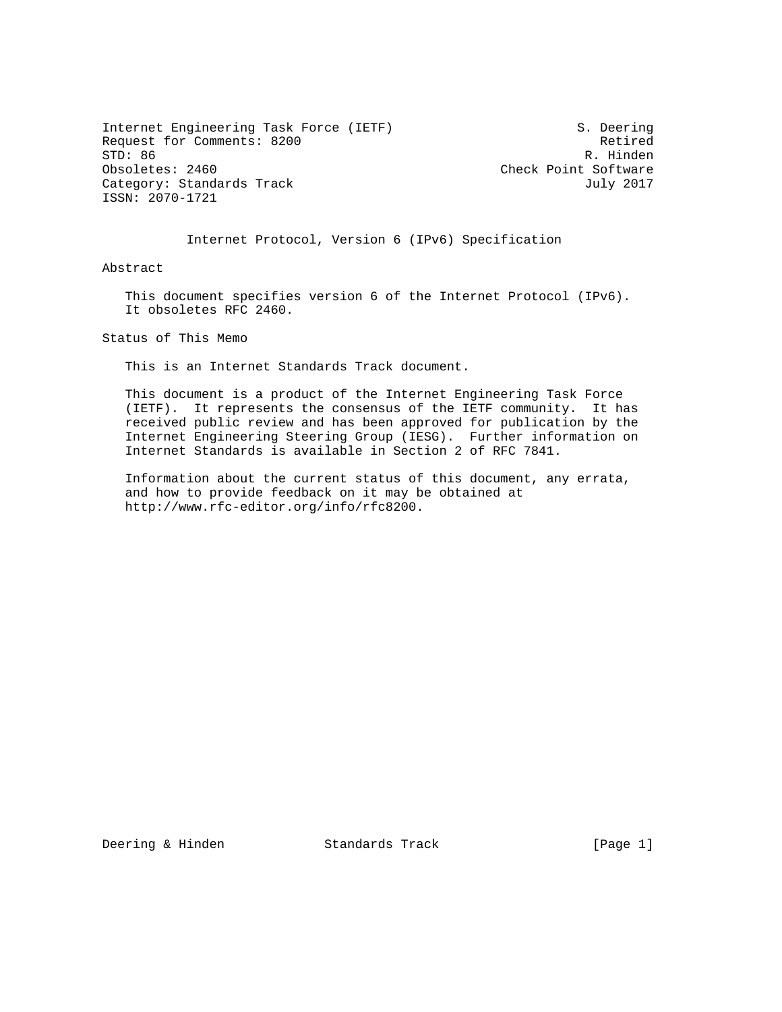Internet Engineering Task Force (IETF) S. Deering Request for Comments: 8200 Retired<br>
STD: 86 R. Hinden STD: 86 R. Hinden<br>Obsoletes: 2460 R. Hinden Category: Standards Track July 2017 ISSN: 2070-1721

Check Point Software

Internet Protocol, Version 6 (IPv6) Specification

Abstract

 This document specifies version 6 of the Internet Protocol (IPv6). It obsoletes RFC 2460.

Status of This Memo

This is an Internet Standards Track document.

 This document is a product of the Internet Engineering Task Force (IETF). It represents the consensus of the IETF community. It has received public review and has been approved for publication by the Internet Engineering Steering Group (IESG). Further information on Internet Standards is available in Section 2 of RFC 7841.

 Information about the current status of this document, any errata, and how to provide feedback on it may be obtained at http://www.rfc-editor.org/info/rfc8200.

Deering & Hinden Standards Track [Page 1]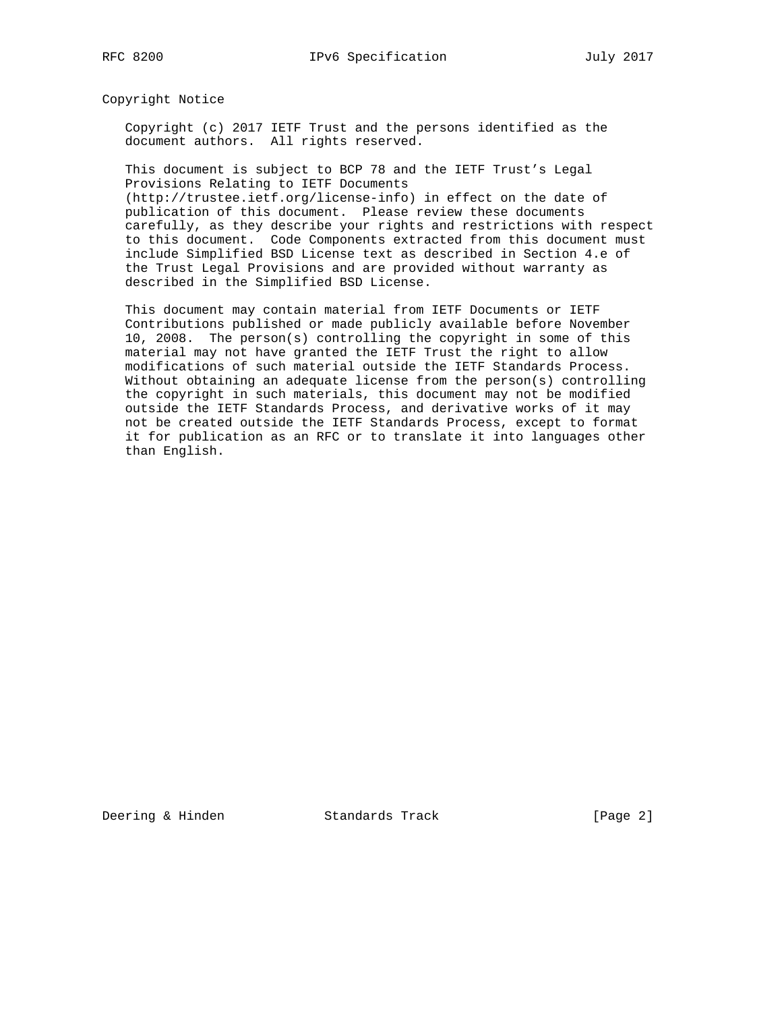Copyright Notice

 Copyright (c) 2017 IETF Trust and the persons identified as the document authors. All rights reserved.

 This document is subject to BCP 78 and the IETF Trust's Legal Provisions Relating to IETF Documents (http://trustee.ietf.org/license-info) in effect on the date of

 publication of this document. Please review these documents carefully, as they describe your rights and restrictions with respect to this document. Code Components extracted from this document must include Simplified BSD License text as described in Section 4.e of the Trust Legal Provisions and are provided without warranty as described in the Simplified BSD License.

 This document may contain material from IETF Documents or IETF Contributions published or made publicly available before November 10, 2008. The person(s) controlling the copyright in some of this material may not have granted the IETF Trust the right to allow modifications of such material outside the IETF Standards Process. Without obtaining an adequate license from the person(s) controlling the copyright in such materials, this document may not be modified outside the IETF Standards Process, and derivative works of it may not be created outside the IETF Standards Process, except to format it for publication as an RFC or to translate it into languages other than English.

Deering & Hinden Standards Track [Page 2]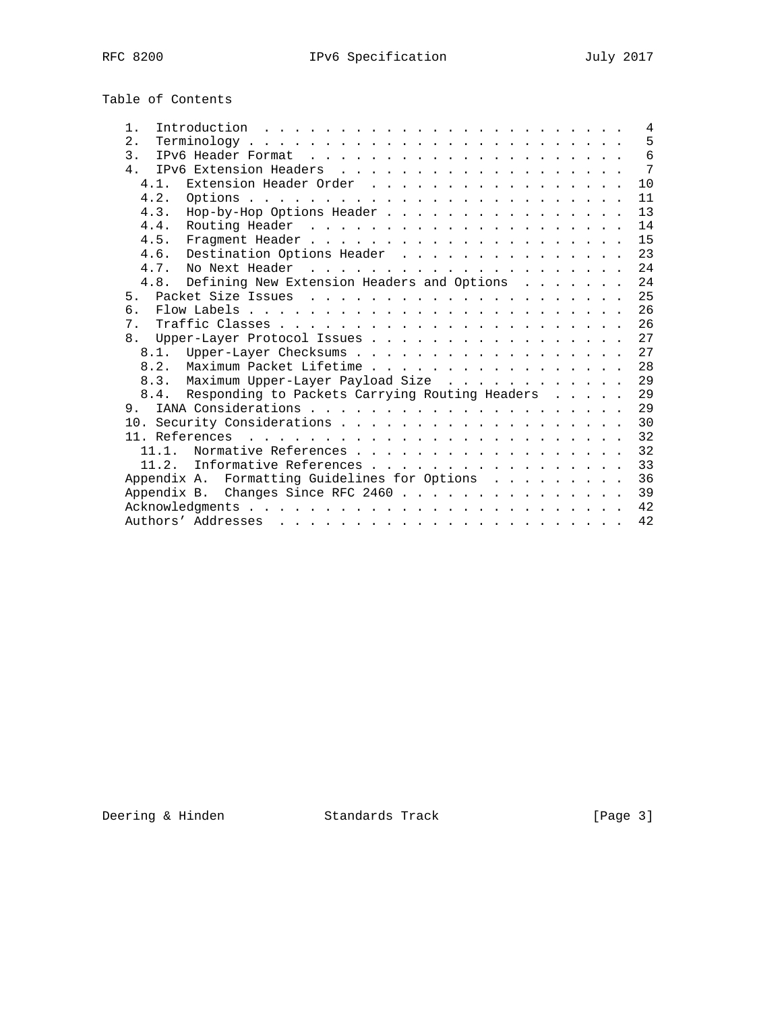| Table of Contents |  |
|-------------------|--|
|-------------------|--|

| $1$ .          |                                                |  |  | $\overline{4}$ |
|----------------|------------------------------------------------|--|--|----------------|
| 2.             |                                                |  |  | 5              |
| $\mathcal{E}$  |                                                |  |  | 6              |
| 4 <sub>1</sub> |                                                |  |  | 7              |
| 4.1.           | Extension Header Order                         |  |  | 10             |
| 4.2.           |                                                |  |  | 11             |
| 4.3.           | Hop-by-Hop Options Header                      |  |  | 13             |
| 4.4.           |                                                |  |  | 14             |
| 4.5.           |                                                |  |  | 15             |
| 4.6.           | Destination Options Header                     |  |  | 23             |
| 4.7.           |                                                |  |  | 24             |
| 4.8.           | Defining New Extension Headers and Options     |  |  | 24             |
| 5.             |                                                |  |  | 25             |
| б.             |                                                |  |  | 26             |
| 7 <sub>1</sub> |                                                |  |  | 26             |
|                | 8. Upper-Layer Protocol Issues                 |  |  | 27             |
|                |                                                |  |  | 2.7            |
| 8.2.           | Maximum Packet Lifetime                        |  |  | 28             |
|                | 8.3. Maximum Upper-Layer Payload Size          |  |  | 29             |
| 8.4.           | Responding to Packets Carrying Routing Headers |  |  | 29             |
|                |                                                |  |  | 29             |
|                |                                                |  |  | 30             |
|                |                                                |  |  | 32             |
| 11 1           | Normative References                           |  |  | 32             |
| 11.2.          | Informative References                         |  |  | 33             |
|                | Appendix A. Formatting Guidelines for Options  |  |  | 36             |
| Appendix B.    | Changes Since RFC 2460                         |  |  | 39             |
|                |                                                |  |  | 42             |
|                |                                                |  |  | 42             |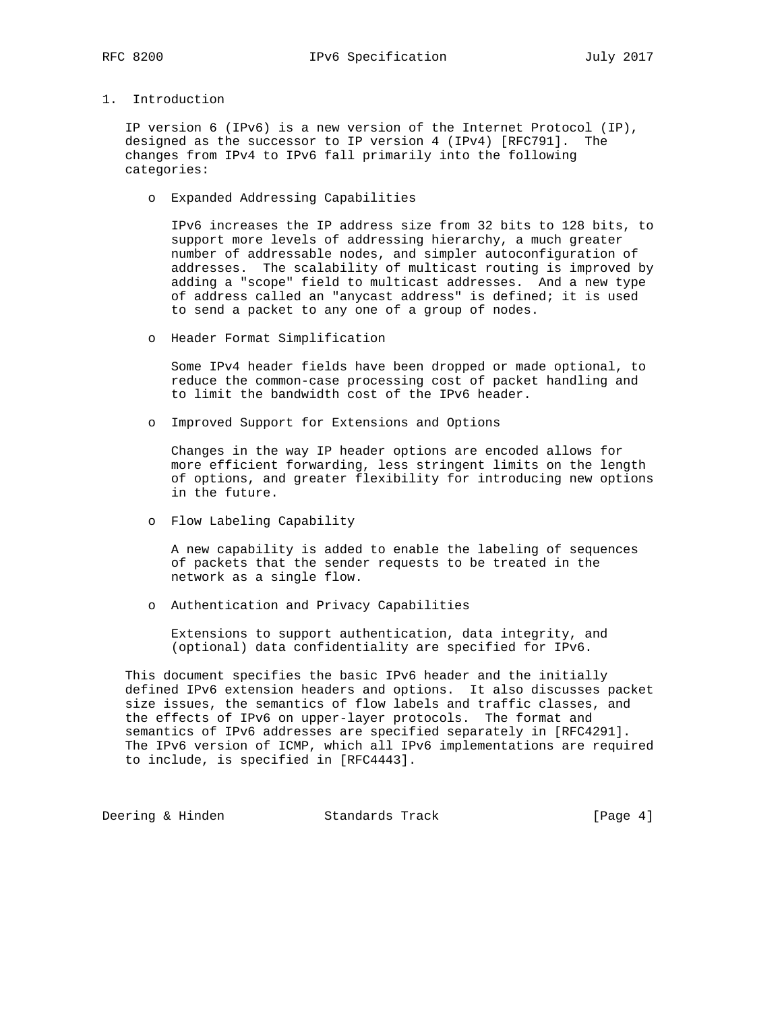# 1. Introduction

 IP version 6 (IPv6) is a new version of the Internet Protocol (IP), designed as the successor to IP version 4 (IPv4) [RFC791]. The changes from IPv4 to IPv6 fall primarily into the following categories:

o Expanded Addressing Capabilities

 IPv6 increases the IP address size from 32 bits to 128 bits, to support more levels of addressing hierarchy, a much greater number of addressable nodes, and simpler autoconfiguration of addresses. The scalability of multicast routing is improved by adding a "scope" field to multicast addresses. And a new type of address called an "anycast address" is defined; it is used to send a packet to any one of a group of nodes.

o Header Format Simplification

 Some IPv4 header fields have been dropped or made optional, to reduce the common-case processing cost of packet handling and to limit the bandwidth cost of the IPv6 header.

o Improved Support for Extensions and Options

 Changes in the way IP header options are encoded allows for more efficient forwarding, less stringent limits on the length of options, and greater flexibility for introducing new options in the future.

o Flow Labeling Capability

 A new capability is added to enable the labeling of sequences of packets that the sender requests to be treated in the network as a single flow.

o Authentication and Privacy Capabilities

 Extensions to support authentication, data integrity, and (optional) data confidentiality are specified for IPv6.

 This document specifies the basic IPv6 header and the initially defined IPv6 extension headers and options. It also discusses packet size issues, the semantics of flow labels and traffic classes, and the effects of IPv6 on upper-layer protocols. The format and semantics of IPv6 addresses are specified separately in [RFC4291]. The IPv6 version of ICMP, which all IPv6 implementations are required to include, is specified in [RFC4443].

Deering & Hinden Standards Track [Page 4]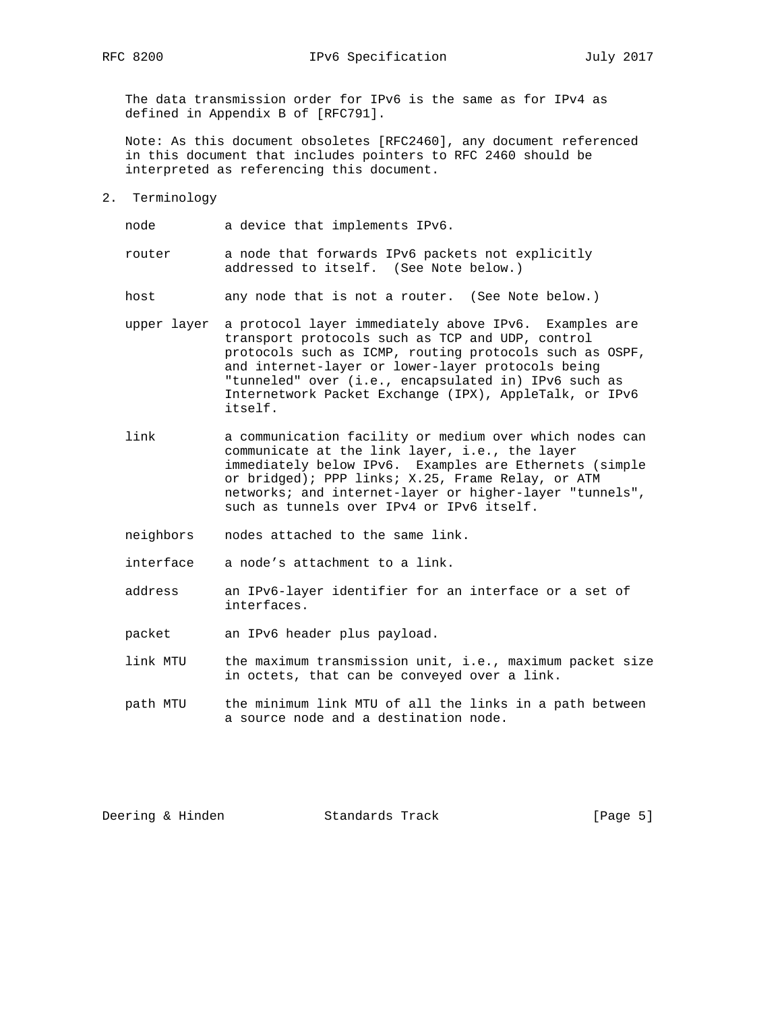The data transmission order for IPv6 is the same as for IPv4 as defined in Appendix B of [RFC791].

 Note: As this document obsoletes [RFC2460], any document referenced in this document that includes pointers to RFC 2460 should be interpreted as referencing this document.

2. Terminology

node a device that implements IPv6.

 router a node that forwards IPv6 packets not explicitly addressed to itself. (See Note below.)

host any node that is not a router. (See Note below.)

- upper layer a protocol layer immediately above IPv6. Examples are transport protocols such as TCP and UDP, control protocols such as ICMP, routing protocols such as OSPF, and internet-layer or lower-layer protocols being "tunneled" over (i.e., encapsulated in) IPv6 such as Internetwork Packet Exchange (IPX), AppleTalk, or IPv6 itself.
- link a communication facility or medium over which nodes can communicate at the link layer, i.e., the layer immediately below IPv6. Examples are Ethernets (simple or bridged); PPP links; X.25, Frame Relay, or ATM networks; and internet-layer or higher-layer "tunnels", such as tunnels over IPv4 or IPv6 itself.
	- neighbors nodes attached to the same link.

interface a node's attachment to a link.

- address an IPv6-layer identifier for an interface or a set of interfaces.
- packet an IPv6 header plus payload.
- link MTU the maximum transmission unit, i.e., maximum packet size in octets, that can be conveyed over a link.
- path MTU the minimum link MTU of all the links in a path between a source node and a destination node.

Deering & Hinden Standards Track [Page 5]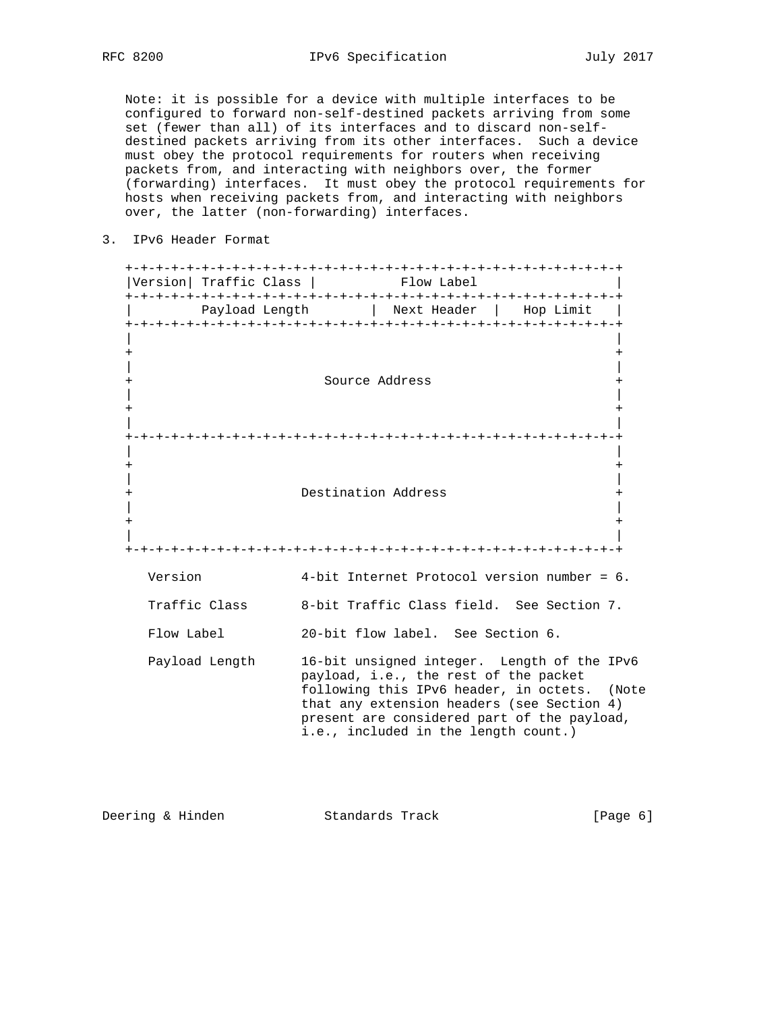Note: it is possible for a device with multiple interfaces to be configured to forward non-self-destined packets arriving from some set (fewer than all) of its interfaces and to discard non-self destined packets arriving from its other interfaces. Such a device must obey the protocol requirements for routers when receiving packets from, and interacting with neighbors over, the former (forwarding) interfaces. It must obey the protocol requirements for hosts when receiving packets from, and interacting with neighbors over, the latter (non-forwarding) interfaces.

3. IPv6 Header Format

| Version  Traffic Class       |                     | Flow Label                                                                    |                                                                                                                                                                                          |  |
|------------------------------|---------------------|-------------------------------------------------------------------------------|------------------------------------------------------------------------------------------------------------------------------------------------------------------------------------------|--|
|                              |                     | Payload Length   Next Header   Hop Limit                                      |                                                                                                                                                                                          |  |
| $^{+}$<br>$\,{}^+$<br>$^{+}$ |                     | Source Address                                                                | $\,{}^+$<br>+<br>$\ddot{}$                                                                                                                                                               |  |
|                              | Destination Address |                                                                               | $^{+}$                                                                                                                                                                                   |  |
| Version                      |                     |                                                                               | 4-bit Internet Protocol version number = 6.                                                                                                                                              |  |
| Traffic Class                |                     |                                                                               | 8-bit Traffic Class field. See Section 7.                                                                                                                                                |  |
| Flow Label                   |                     | 20-bit flow label. See Section 6.                                             |                                                                                                                                                                                          |  |
| Payload Length               |                     | payload, i.e., the rest of the packet<br>i.e., included in the length count.) | 16-bit unsigned integer. Length of the IPv6<br>following this IPv6 header, in octets. (Note<br>that any extension headers (see Section 4)<br>present are considered part of the payload, |  |

Deering & Hinden Standards Track [Page 6]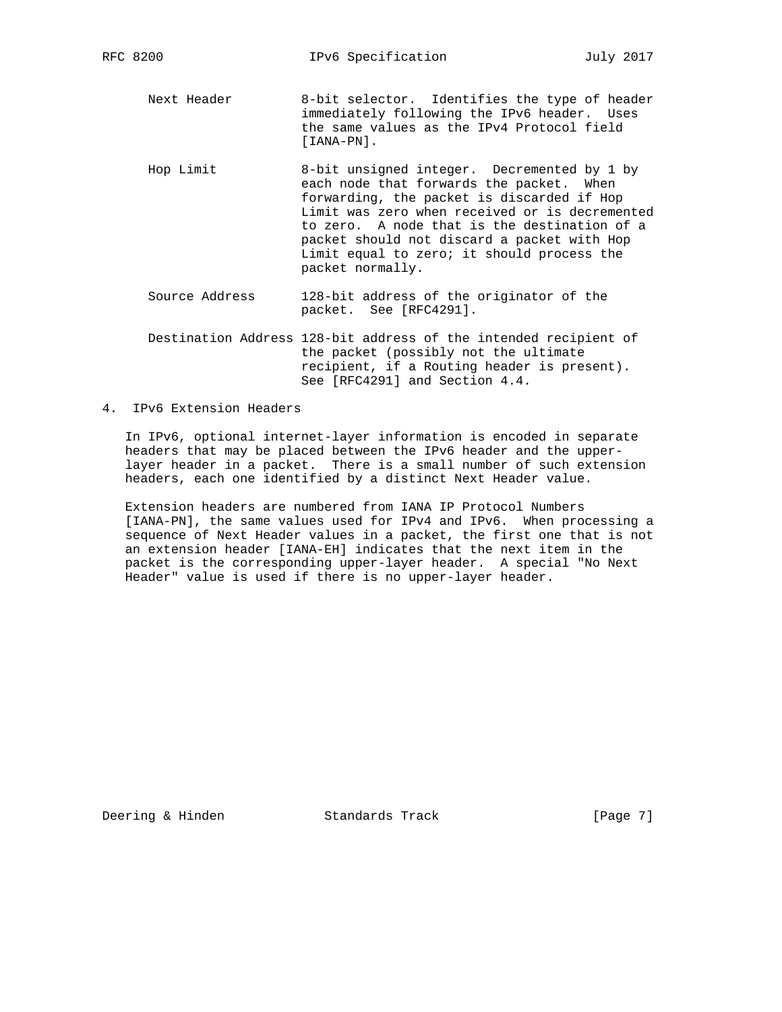- Next Header 8-bit selector. Identifies the type of header immediately following the IPv6 header. Uses the same values as the IPv4 Protocol field [IANA-PN].
- Hop Limit 8-bit unsigned integer. Decremented by 1 by each node that forwards the packet. When forwarding, the packet is discarded if Hop Limit was zero when received or is decremented to zero. A node that is the destination of a packet should not discard a packet with Hop Limit equal to zero; it should process the packet normally.
- Source Address 128-bit address of the originator of the packet. See [RFC4291].
- Destination Address 128-bit address of the intended recipient of the packet (possibly not the ultimate recipient, if a Routing header is present). See [RFC4291] and Section 4.4.
- 4. IPv6 Extension Headers

 In IPv6, optional internet-layer information is encoded in separate headers that may be placed between the IPv6 header and the upper layer header in a packet. There is a small number of such extension headers, each one identified by a distinct Next Header value.

 Extension headers are numbered from IANA IP Protocol Numbers [IANA-PN], the same values used for IPv4 and IPv6. When processing a sequence of Next Header values in a packet, the first one that is not an extension header [IANA-EH] indicates that the next item in the packet is the corresponding upper-layer header. A special "No Next Header" value is used if there is no upper-layer header.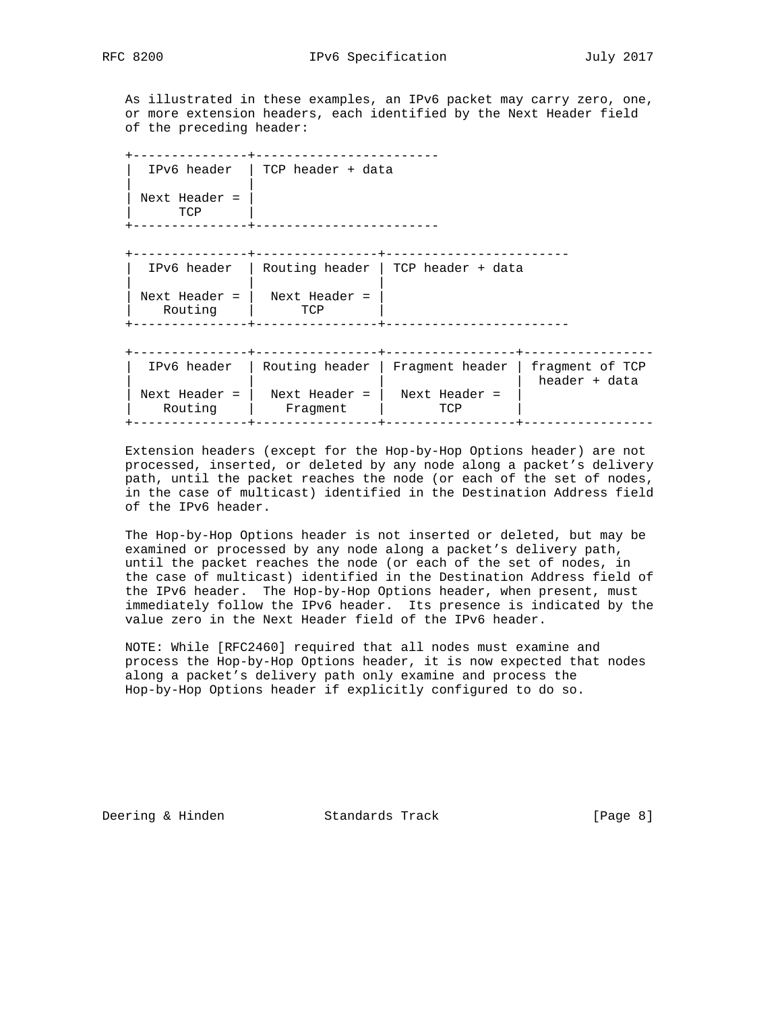As illustrated in these examples, an IPv6 packet may carry zero, one, or more extension headers, each identified by the Next Header field of the preceding header:

 +---------------+------------------------ | IPv6 header | TCP header + data | | | Next Header = | | TCP | +---------------+------------------------

+---------------+----------------+------------------------

 | IPv6 header | Routing header | TCP header + data | | | | Next Header = | Next Header = | | Routing | TCP | +---------------+----------------+------------------------

+---------------+----------------+-----------------+-----------------

| IPv6 header              |                           | Routing header   Fragment header   fragment of TCP | header + data |
|--------------------------|---------------------------|----------------------------------------------------|---------------|
| Next Header =<br>Routing | Next Header =<br>Fraqment | Next Header =<br>TCP                               |               |
|                          |                           |                                                    |               |

 Extension headers (except for the Hop-by-Hop Options header) are not processed, inserted, or deleted by any node along a packet's delivery path, until the packet reaches the node (or each of the set of nodes, in the case of multicast) identified in the Destination Address field of the IPv6 header.

 The Hop-by-Hop Options header is not inserted or deleted, but may be examined or processed by any node along a packet's delivery path, until the packet reaches the node (or each of the set of nodes, in the case of multicast) identified in the Destination Address field of the IPv6 header. The Hop-by-Hop Options header, when present, must immediately follow the IPv6 header. Its presence is indicated by the value zero in the Next Header field of the IPv6 header.

 NOTE: While [RFC2460] required that all nodes must examine and process the Hop-by-Hop Options header, it is now expected that nodes along a packet's delivery path only examine and process the Hop-by-Hop Options header if explicitly configured to do so.

Deering & Hinden Standards Track [Page 8]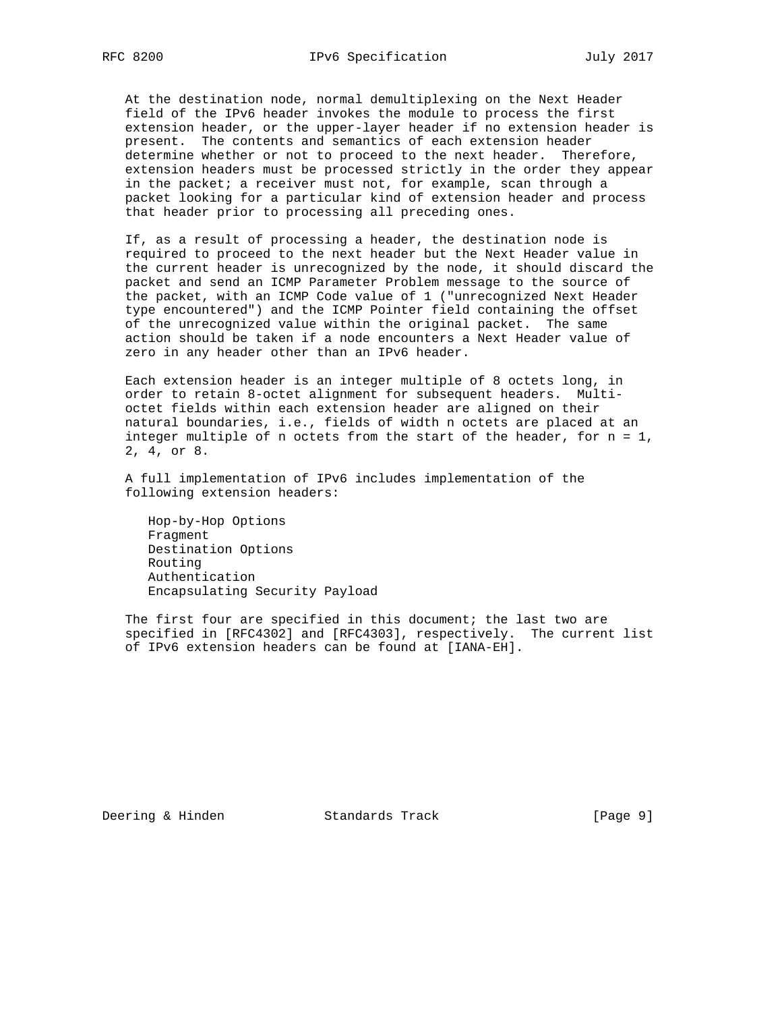At the destination node, normal demultiplexing on the Next Header field of the IPv6 header invokes the module to process the first extension header, or the upper-layer header if no extension header is present. The contents and semantics of each extension header determine whether or not to proceed to the next header. Therefore, extension headers must be processed strictly in the order they appear in the packet; a receiver must not, for example, scan through a packet looking for a particular kind of extension header and process that header prior to processing all preceding ones.

 If, as a result of processing a header, the destination node is required to proceed to the next header but the Next Header value in the current header is unrecognized by the node, it should discard the packet and send an ICMP Parameter Problem message to the source of the packet, with an ICMP Code value of 1 ("unrecognized Next Header type encountered") and the ICMP Pointer field containing the offset of the unrecognized value within the original packet. The same action should be taken if a node encounters a Next Header value of zero in any header other than an IPv6 header.

 Each extension header is an integer multiple of 8 octets long, in order to retain 8-octet alignment for subsequent headers. Multi octet fields within each extension header are aligned on their natural boundaries, i.e., fields of width n octets are placed at an integer multiple of n octets from the start of the header, for n = 1, 2, 4, or 8.

 A full implementation of IPv6 includes implementation of the following extension headers:

 Hop-by-Hop Options Fragment Destination Options Routing Authentication Encapsulating Security Payload

 The first four are specified in this document; the last two are specified in [RFC4302] and [RFC4303], respectively. The current list of IPv6 extension headers can be found at [IANA-EH].

Deering & Hinden Standards Track [Page 9]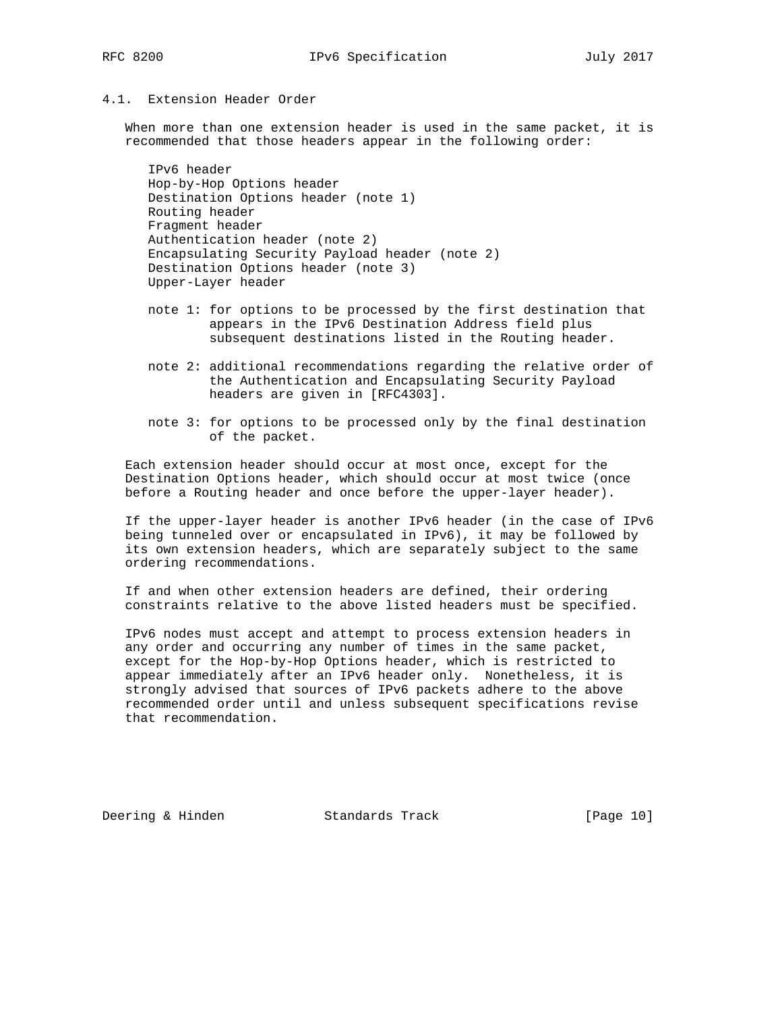### 4.1. Extension Header Order

 When more than one extension header is used in the same packet, it is recommended that those headers appear in the following order:

 IPv6 header Hop-by-Hop Options header Destination Options header (note 1) Routing header Fragment header Authentication header (note 2) Encapsulating Security Payload header (note 2) Destination Options header (note 3) Upper-Layer header

- note 1: for options to be processed by the first destination that appears in the IPv6 Destination Address field plus subsequent destinations listed in the Routing header.
- note 2: additional recommendations regarding the relative order of the Authentication and Encapsulating Security Payload headers are given in [RFC4303].
- note 3: for options to be processed only by the final destination of the packet.

 Each extension header should occur at most once, except for the Destination Options header, which should occur at most twice (once before a Routing header and once before the upper-layer header).

 If the upper-layer header is another IPv6 header (in the case of IPv6 being tunneled over or encapsulated in IPv6), it may be followed by its own extension headers, which are separately subject to the same ordering recommendations.

 If and when other extension headers are defined, their ordering constraints relative to the above listed headers must be specified.

 IPv6 nodes must accept and attempt to process extension headers in any order and occurring any number of times in the same packet, except for the Hop-by-Hop Options header, which is restricted to appear immediately after an IPv6 header only. Nonetheless, it is strongly advised that sources of IPv6 packets adhere to the above recommended order until and unless subsequent specifications revise that recommendation.

Deering & Hinden Standards Track [Page 10]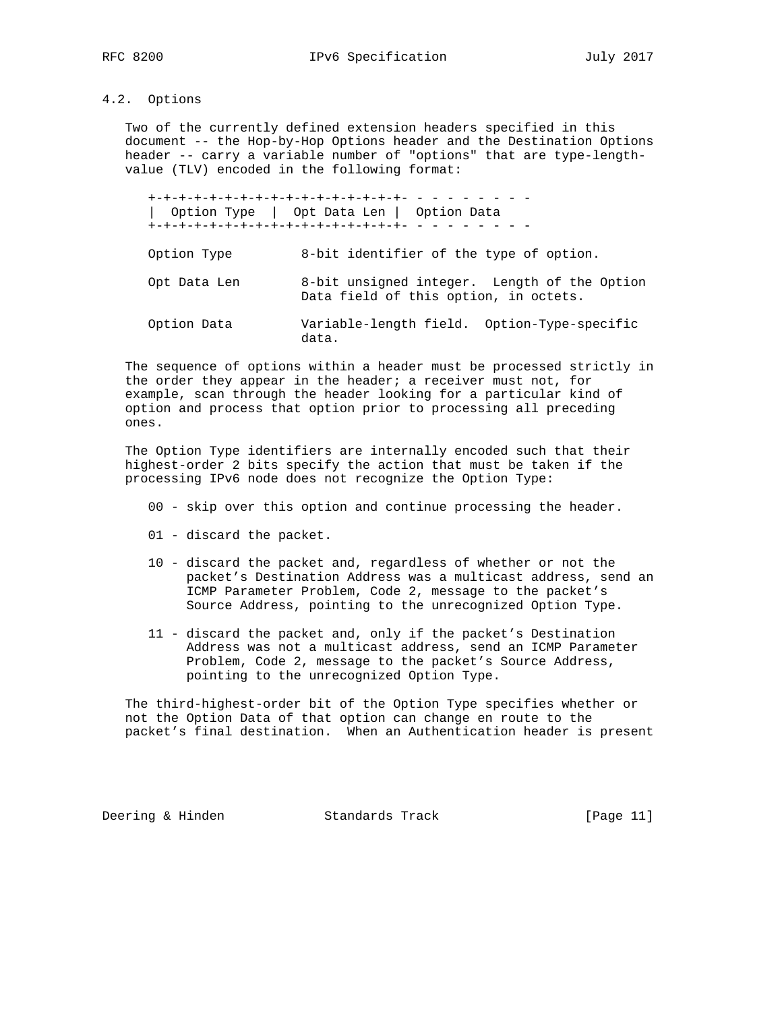# 4.2. Options

 Two of the currently defined extension headers specified in this document -- the Hop-by-Hop Options header and the Destination Options header -- carry a variable number of "options" that are type-length value (TLV) encoded in the following format:

 +-+-+-+-+-+-+-+-+-+-+-+-+-+-+-+-+- - - - - - - - - | Option Type | Opt Data Len | Option Data +-+-+-+-+-+-+-+-+-+-+-+-+-+-+-+-+- - - - - - - - - Option Type 8-bit identifier of the type of option. Opt Data Len 8-bit unsigned integer. Length of the Option Data field of this option, in octets. Option Data Variable-length field. Option-Type-specific data.

 The sequence of options within a header must be processed strictly in the order they appear in the header; a receiver must not, for example, scan through the header looking for a particular kind of option and process that option prior to processing all preceding ones.

 The Option Type identifiers are internally encoded such that their highest-order 2 bits specify the action that must be taken if the processing IPv6 node does not recognize the Option Type:

- 00 skip over this option and continue processing the header.
- 01 discard the packet.
- 10 discard the packet and, regardless of whether or not the packet's Destination Address was a multicast address, send an ICMP Parameter Problem, Code 2, message to the packet's Source Address, pointing to the unrecognized Option Type.
- 11 discard the packet and, only if the packet's Destination Address was not a multicast address, send an ICMP Parameter Problem, Code 2, message to the packet's Source Address, pointing to the unrecognized Option Type.

 The third-highest-order bit of the Option Type specifies whether or not the Option Data of that option can change en route to the packet's final destination. When an Authentication header is present

Deering & Hinden Standards Track [Page 11]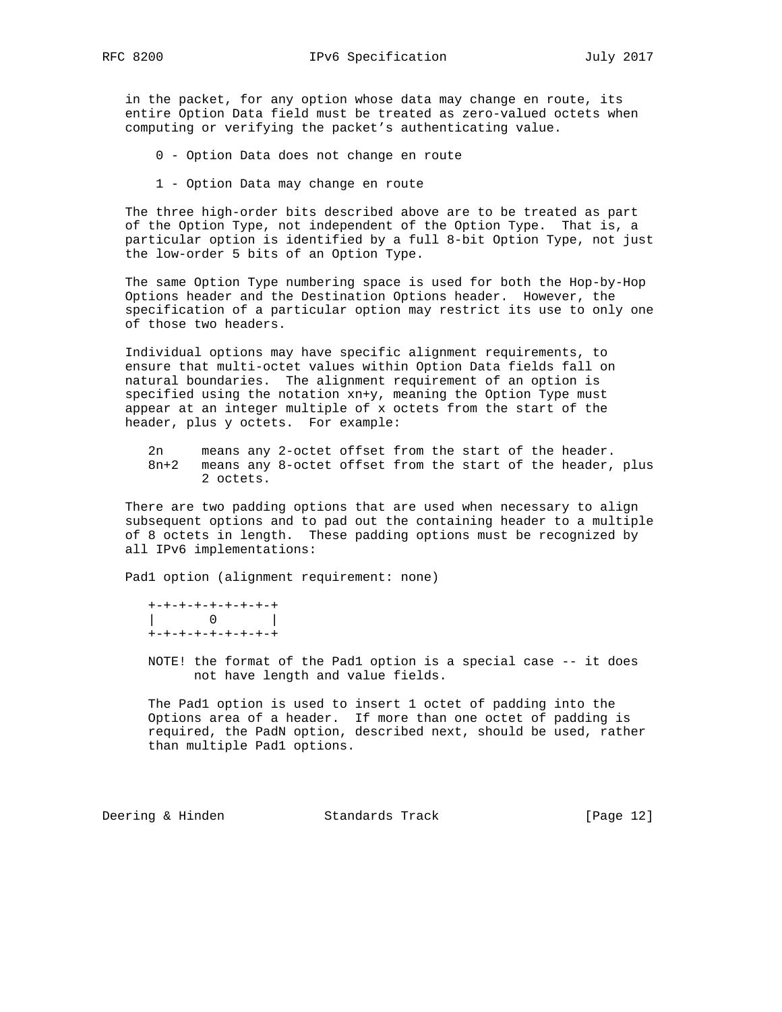in the packet, for any option whose data may change en route, its entire Option Data field must be treated as zero-valued octets when computing or verifying the packet's authenticating value.

0 - Option Data does not change en route

1 - Option Data may change en route

 The three high-order bits described above are to be treated as part of the Option Type, not independent of the Option Type. That is, a particular option is identified by a full 8-bit Option Type, not just the low-order 5 bits of an Option Type.

 The same Option Type numbering space is used for both the Hop-by-Hop Options header and the Destination Options header. However, the specification of a particular option may restrict its use to only one of those two headers.

 Individual options may have specific alignment requirements, to ensure that multi-octet values within Option Data fields fall on natural boundaries. The alignment requirement of an option is specified using the notation xn+y, meaning the Option Type must appear at an integer multiple of x octets from the start of the header, plus y octets. For example:

2n means any 2-octet offset from the start of the header.<br>8n+2 means any 8-octet offset from the start of the header. means any 8-octet offset from the start of the header, plus 2 octets.

 There are two padding options that are used when necessary to align subsequent options and to pad out the containing header to a multiple of 8 octets in length. These padding options must be recognized by all IPv6 implementations:

Pad1 option (alignment requirement: none)

 +-+-+-+-+-+-+-+-+ | 0 | +-+-+-+-+-+-+-+-+

 NOTE! the format of the Pad1 option is a special case -- it does not have length and value fields.

 The Pad1 option is used to insert 1 octet of padding into the Options area of a header. If more than one octet of padding is required, the PadN option, described next, should be used, rather than multiple Pad1 options.

Deering & Hinden Standards Track [Page 12]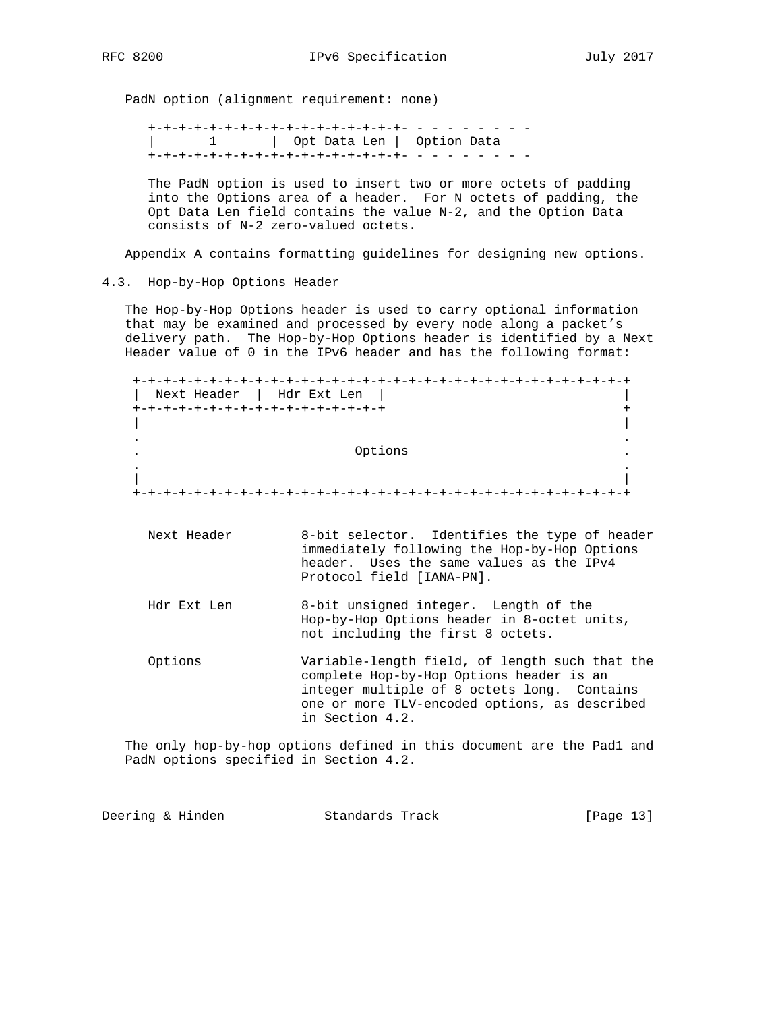PadN option (alignment requirement: none)

 +-+-+-+-+-+-+-+-+-+-+-+-+-+-+-+-+- - - - - - - - - | 1 | Opt Data Len | Option Data +-+-+-+-+-+-+-+-+-+-+-+-+-+-+-+-+- - - - - - - - -

 The PadN option is used to insert two or more octets of padding into the Options area of a header. For N octets of padding, the Opt Data Len field contains the value N-2, and the Option Data consists of N-2 zero-valued octets.

Appendix A contains formatting guidelines for designing new options.

4.3. Hop-by-Hop Options Header

 The Hop-by-Hop Options header is used to carry optional information that may be examined and processed by every node along a packet's delivery path. The Hop-by-Hop Options header is identified by a Next Header value of 0 in the IPv6 header and has the following format:

 +-+-+-+-+-+-+-+-+-+-+-+-+-+-+-+-+-+-+-+-+-+-+-+-+-+-+-+-+-+-+-+-+ | Next Header | Hdr Ext Len | | +-+-+-+-+-+-+-+-+-+-+-+-+-+-+-+-+ + | | . . . Options . . . | | +-+-+-+-+-+-+-+-+-+-+-+-+-+-+-+-+-+-+-+-+-+-+-+-+-+-+-+-+-+-+-+-+

- Next Header 8-bit selector. Identifies the type of header immediately following the Hop-by-Hop Options header. Uses the same values as the IPv4 Protocol field [IANA-PN].
- Hdr Ext Len 8-bit unsigned integer. Length of the Hop-by-Hop Options header in 8-octet units, not including the first 8 octets.
- Options Variable-length field, of length such that the complete Hop-by-Hop Options header is an integer multiple of 8 octets long. Contains one or more TLV-encoded options, as described in Section 4.2.

 The only hop-by-hop options defined in this document are the Pad1 and PadN options specified in Section 4.2.

Deering & Hinden Standards Track [Page 13]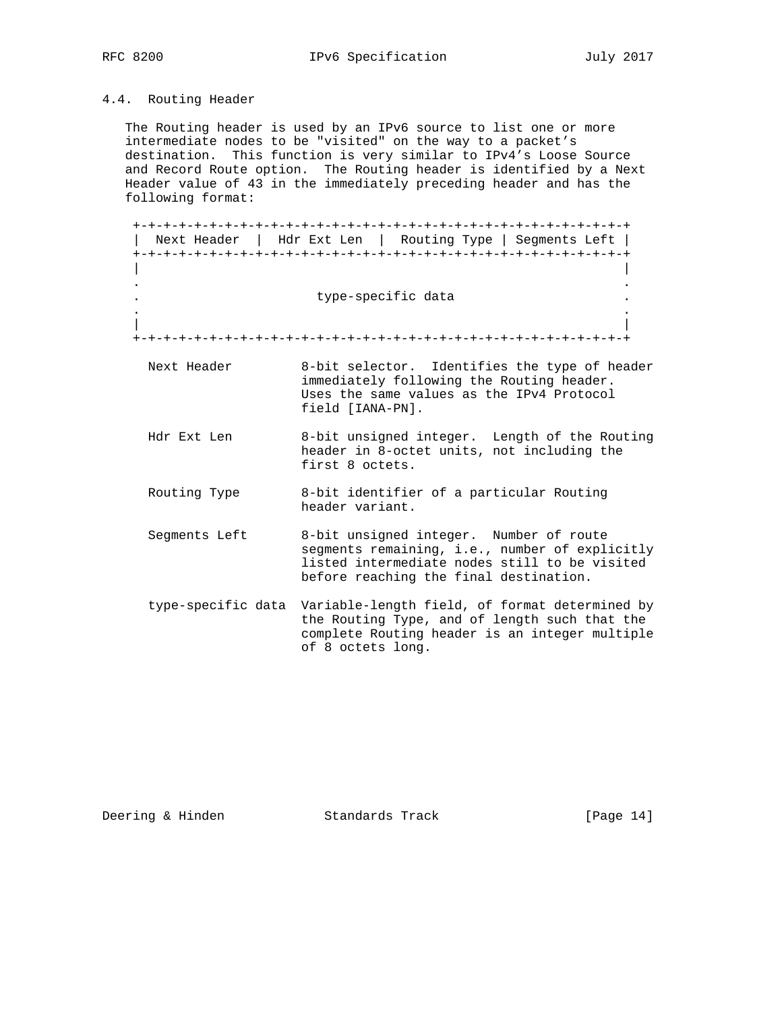# 4.4. Routing Header

 The Routing header is used by an IPv6 source to list one or more intermediate nodes to be "visited" on the way to a packet's destination. This function is very similar to IPv4's Loose Source and Record Route option. The Routing header is identified by a Next Header value of 43 in the immediately preceding header and has the following format:

 +-+-+-+-+-+-+-+-+-+-+-+-+-+-+-+-+-+-+-+-+-+-+-+-+-+-+-+-+-+-+-+-+ | Next Header | Hdr Ext Len | Routing Type | Segments Left | +-+-+-+-+-+-+-+-+-+-+-+-+-+-+-+-+-+-+-+-+-+-+-+-+-+-+-+-+-+-+-+-+ | | . . type-specific data . . | | +-+-+-+-+-+-+-+-+-+-+-+-+-+-+-+-+-+-+-+-+-+-+-+-+-+-+-+-+-+-+-+-+ Next Header 8-bit selector. Identifies the type of header immediately following the Routing header. Uses the same values as the IPv4 Protocol field [IANA-PN]. Hdr Ext Len 8-bit unsigned integer. Length of the Routing header in 8-octet units, not including the first 8 octets. Routing Type 8-bit identifier of a particular Routing header variant. Segments Left 8-bit unsigned integer. Number of route segments remaining, i.e., number of explicitly listed intermediate nodes still to be visited before reaching the final destination. type-specific data Variable-length field, of format determined by the Routing Type, and of length such that the complete Routing header is an integer multiple

Deering & Hinden Standards Track [Page 14]

of 8 octets long.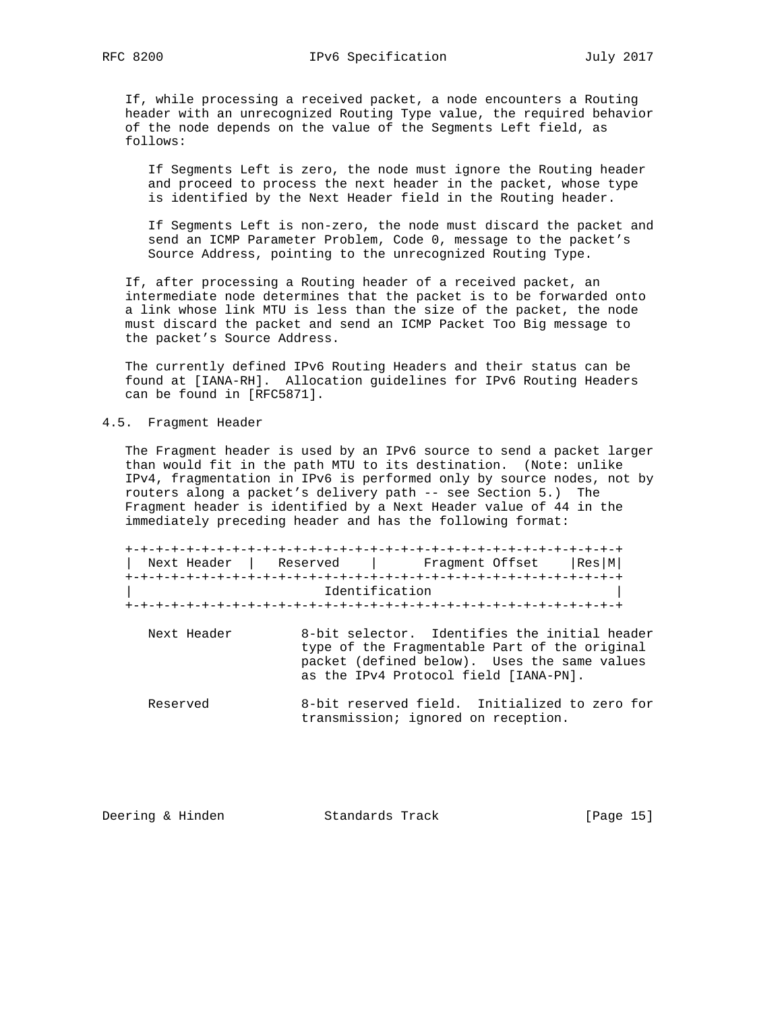If, while processing a received packet, a node encounters a Routing header with an unrecognized Routing Type value, the required behavior of the node depends on the value of the Segments Left field, as follows:

 If Segments Left is zero, the node must ignore the Routing header and proceed to process the next header in the packet, whose type is identified by the Next Header field in the Routing header.

 If Segments Left is non-zero, the node must discard the packet and send an ICMP Parameter Problem, Code 0, message to the packet's Source Address, pointing to the unrecognized Routing Type.

 If, after processing a Routing header of a received packet, an intermediate node determines that the packet is to be forwarded onto a link whose link MTU is less than the size of the packet, the node must discard the packet and send an ICMP Packet Too Big message to the packet's Source Address.

 The currently defined IPv6 Routing Headers and their status can be found at [IANA-RH]. Allocation guidelines for IPv6 Routing Headers can be found in [RFC5871].

#### 4.5. Fragment Header

 The Fragment header is used by an IPv6 source to send a packet larger than would fit in the path MTU to its destination. (Note: unlike IPv4, fragmentation in IPv6 is performed only by source nodes, not by routers along a packet's delivery path -- see Section 5.) The Fragment header is identified by a Next Header value of 44 in the immediately preceding header and has the following format:

 +-+-+-+-+-+-+-+-+-+-+-+-+-+-+-+-+-+-+-+-+-+-+-+-+-+-+-+-+-+-+-+-+ | Next Header | Reserved | Fragment Offset |Res|M| +-+-+-+-+-+-+-+-+-+-+-+-+-+-+-+-+-+-+-+-+-+-+-+-+-+-+-+-+-+-+-+-+ Identification +-+-+-+-+-+-+-+-+-+-+-+-+-+-+-+-+-+-+-+-+-+-+-+-+-+-+-+-+-+-+-+-+

- Next Header 8-bit selector. Identifies the initial header type of the Fragmentable Part of the original packet (defined below). Uses the same values as the IPv4 Protocol field [IANA-PN].
- Reserved 8-bit reserved field. Initialized to zero for transmission; ignored on reception.

Deering & Hinden Standards Track [Page 15]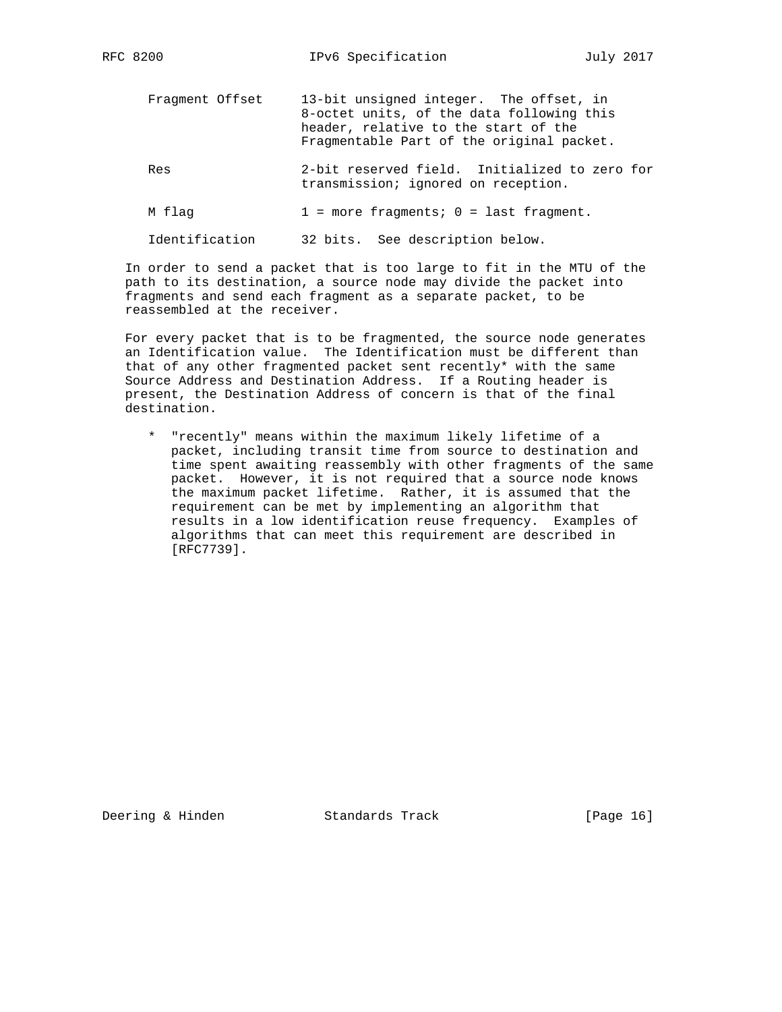Fragment Offset 13-bit unsigned integer. The offset, in 8-octet units, of the data following this header, relative to the start of the Fragmentable Part of the original packet. Res 2-bit reserved field. Initialized to zero for transmission; ignored on reception.  $M$  flag  $1$  = more fragments;  $0$  = last fragment.

Identification 32 bits. See description below.

 In order to send a packet that is too large to fit in the MTU of the path to its destination, a source node may divide the packet into fragments and send each fragment as a separate packet, to be reassembled at the receiver.

 For every packet that is to be fragmented, the source node generates an Identification value. The Identification must be different than that of any other fragmented packet sent recently\* with the same Source Address and Destination Address. If a Routing header is present, the Destination Address of concern is that of the final destination.

 \* "recently" means within the maximum likely lifetime of a packet, including transit time from source to destination and time spent awaiting reassembly with other fragments of the same packet. However, it is not required that a source node knows the maximum packet lifetime. Rather, it is assumed that the requirement can be met by implementing an algorithm that results in a low identification reuse frequency. Examples of algorithms that can meet this requirement are described in [RFC7739].

Deering & Hinden Standards Track [Page 16]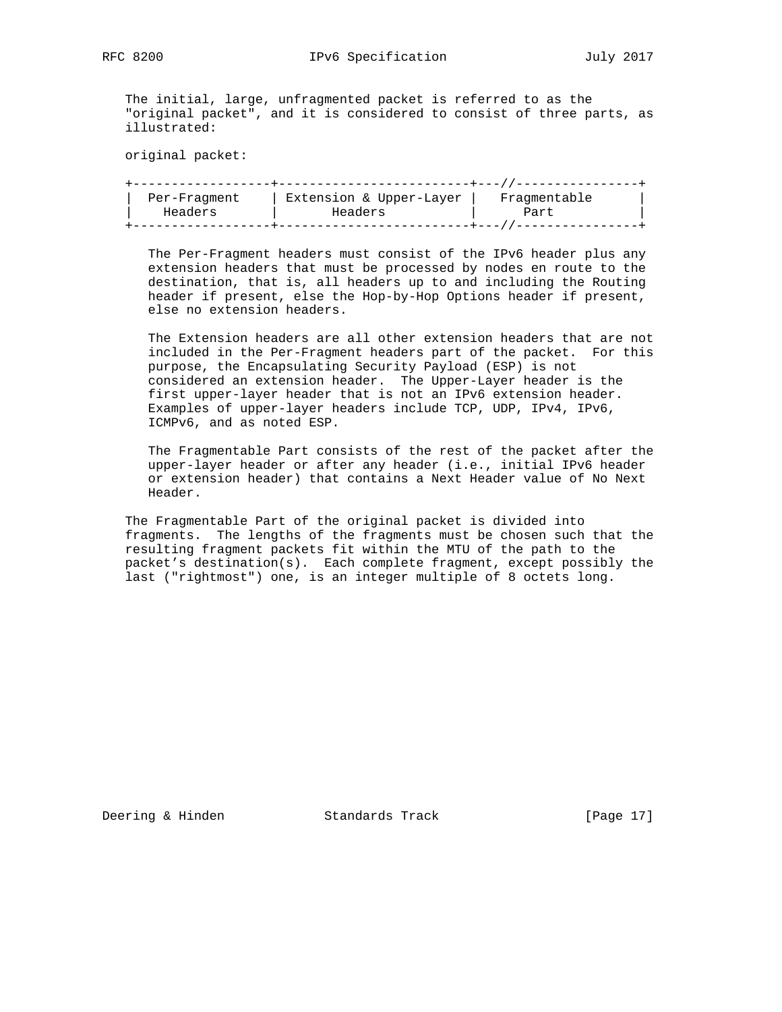The initial, large, unfragmented packet is referred to as the "original packet", and it is considered to consist of three parts, as illustrated:

original packet:

| Per-Fraqment | Extension & Upper-Layer | Fraqmentable |  |
|--------------|-------------------------|--------------|--|
| Headers      | Headers                 | Part         |  |
|              |                         |              |  |

 The Per-Fragment headers must consist of the IPv6 header plus any extension headers that must be processed by nodes en route to the destination, that is, all headers up to and including the Routing header if present, else the Hop-by-Hop Options header if present, else no extension headers.

 The Extension headers are all other extension headers that are not included in the Per-Fragment headers part of the packet. For this purpose, the Encapsulating Security Payload (ESP) is not considered an extension header. The Upper-Layer header is the first upper-layer header that is not an IPv6 extension header. Examples of upper-layer headers include TCP, UDP, IPv4, IPv6, ICMPv6, and as noted ESP.

 The Fragmentable Part consists of the rest of the packet after the upper-layer header or after any header (i.e., initial IPv6 header or extension header) that contains a Next Header value of No Next Header.

 The Fragmentable Part of the original packet is divided into fragments. The lengths of the fragments must be chosen such that the resulting fragment packets fit within the MTU of the path to the packet's destination(s). Each complete fragment, except possibly the last ("rightmost") one, is an integer multiple of 8 octets long.

Deering & Hinden Standards Track [Page 17]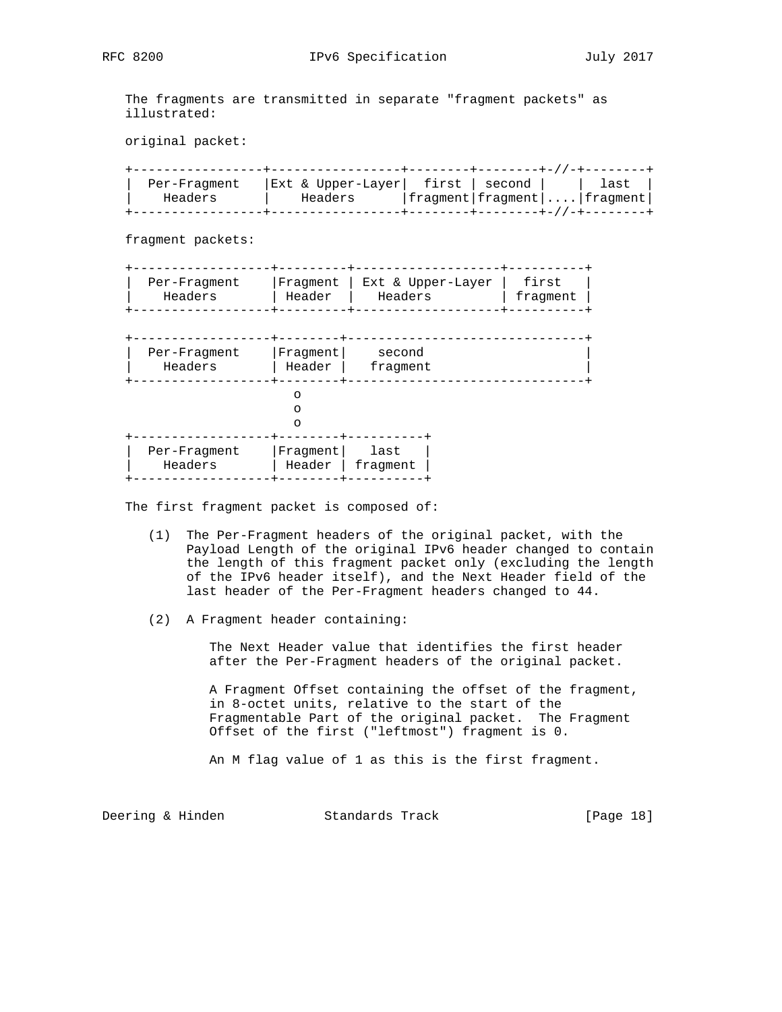The fragments are transmitted in separate "fragment packets" as illustrated:

original packet:

| Per-Fraqment | Ext & Upper-Layer  first   second |  | last                                                |
|--------------|-----------------------------------|--|-----------------------------------------------------|
| Headers      | Headers                           |  | $ $ fragment $ $ fragment $  \ldots  $ fragment $ $ |
|              |                                   |  |                                                     |

fragment packets:

| Per-Fraqment |        | Fraqment   Ext & Upper-Layer | first    |
|--------------|--------|------------------------------|----------|
| Headers      | Header | Headers                      | fraqment |
|              |        |                              |          |

| Per-Fragment | Fragment | second   |  |
|--------------|----------|----------|--|
| Headers      | Header   | fragment |  |
|              |          |          |  |
| Per-Fragment | Fragment | last     |  |
| Headers      | Header   | fragment |  |

The first fragment packet is composed of:

- (1) The Per-Fragment headers of the original packet, with the Payload Length of the original IPv6 header changed to contain the length of this fragment packet only (excluding the length of the IPv6 header itself), and the Next Header field of the last header of the Per-Fragment headers changed to 44.
- (2) A Fragment header containing:

 The Next Header value that identifies the first header after the Per-Fragment headers of the original packet.

 A Fragment Offset containing the offset of the fragment, in 8-octet units, relative to the start of the Fragmentable Part of the original packet. The Fragment Offset of the first ("leftmost") fragment is 0.

An M flag value of 1 as this is the first fragment.

Deering & Hinden Standards Track [Page 18]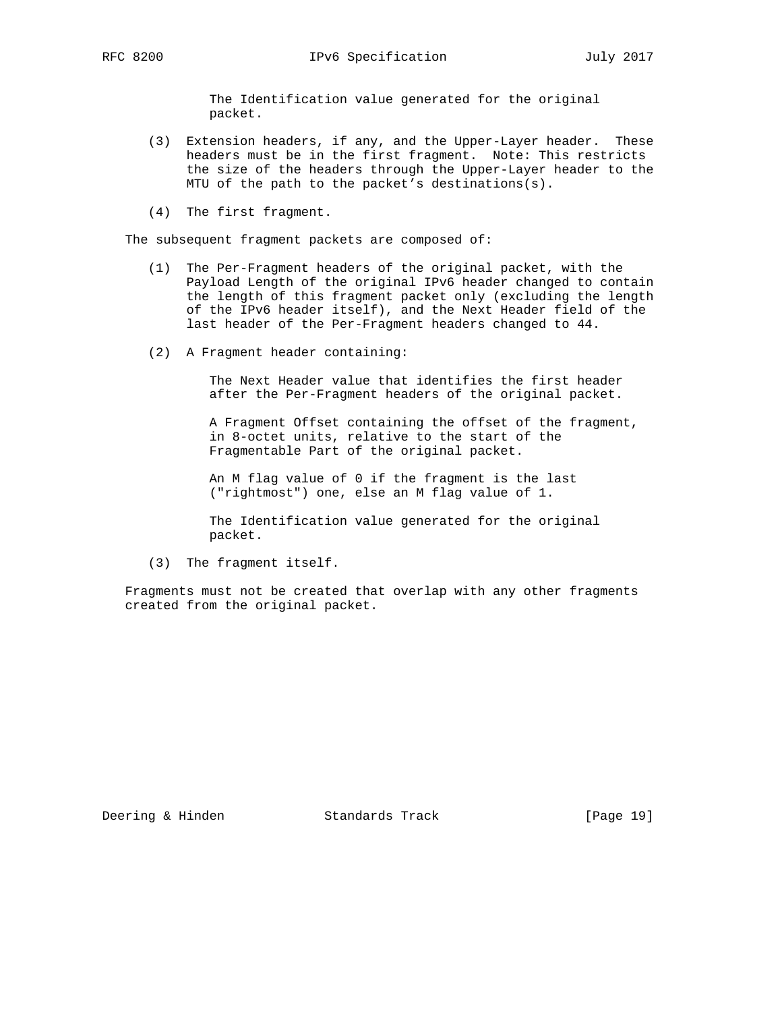The Identification value generated for the original packet.

- (3) Extension headers, if any, and the Upper-Layer header. These headers must be in the first fragment. Note: This restricts the size of the headers through the Upper-Layer header to the MTU of the path to the packet's destinations(s).
- (4) The first fragment.

The subsequent fragment packets are composed of:

- (1) The Per-Fragment headers of the original packet, with the Payload Length of the original IPv6 header changed to contain the length of this fragment packet only (excluding the length of the IPv6 header itself), and the Next Header field of the last header of the Per-Fragment headers changed to 44.
- (2) A Fragment header containing:

 The Next Header value that identifies the first header after the Per-Fragment headers of the original packet.

 A Fragment Offset containing the offset of the fragment, in 8-octet units, relative to the start of the Fragmentable Part of the original packet.

 An M flag value of 0 if the fragment is the last ("rightmost") one, else an M flag value of 1.

 The Identification value generated for the original packet.

(3) The fragment itself.

 Fragments must not be created that overlap with any other fragments created from the original packet.

Deering & Hinden Standards Track [Page 19]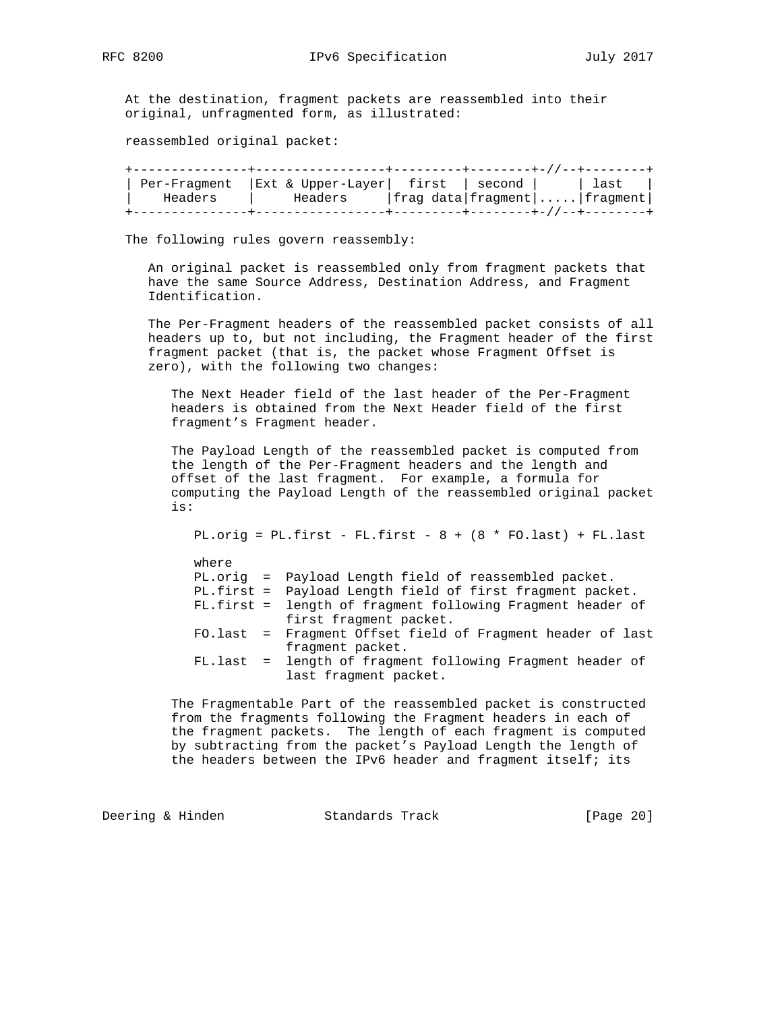At the destination, fragment packets are reassembled into their original, unfragmented form, as illustrated:

reassembled original packet:

| Per-Fragment | $ Ext & Upper-Layer $ first   second |                                                      |  | last |
|--------------|--------------------------------------|------------------------------------------------------|--|------|
| Headers      | Headers                              | $ $ frag data $ $ fragment $  \ldots  $ fragment $ $ |  |      |
|              |                                      |                                                      |  |      |

The following rules govern reassembly:

 An original packet is reassembled only from fragment packets that have the same Source Address, Destination Address, and Fragment Identification.

 The Per-Fragment headers of the reassembled packet consists of all headers up to, but not including, the Fragment header of the first fragment packet (that is, the packet whose Fragment Offset is zero), with the following two changes:

 The Next Header field of the last header of the Per-Fragment headers is obtained from the Next Header field of the first fragment's Fragment header.

 The Payload Length of the reassembled packet is computed from the length of the Per-Fragment headers and the length and offset of the last fragment. For example, a formula for computing the Payload Length of the reassembled original packet is:

PL.orig =  $PL.first - FL.first - 8 + (8 * FO-last) + FL last$ 

| where |                                                            |
|-------|------------------------------------------------------------|
|       | PL.orig = Payload Length field of reassembled packet.      |
|       | PL.first = Payload Length field of first fragment packet.  |
|       | FL.first = length of fragment following Fragment header of |
|       | first fragment packet.                                     |
|       | FO.last = Fragment Offset field of Fragment header of last |
|       | fragment packet.                                           |
|       | FL.last = length of fragment following Fragment header of  |
|       | last fragment packet.                                      |

 The Fragmentable Part of the reassembled packet is constructed from the fragments following the Fragment headers in each of the fragment packets. The length of each fragment is computed by subtracting from the packet's Payload Length the length of the headers between the IPv6 header and fragment itself; its

Deering & Hinden Standards Track [Page 20]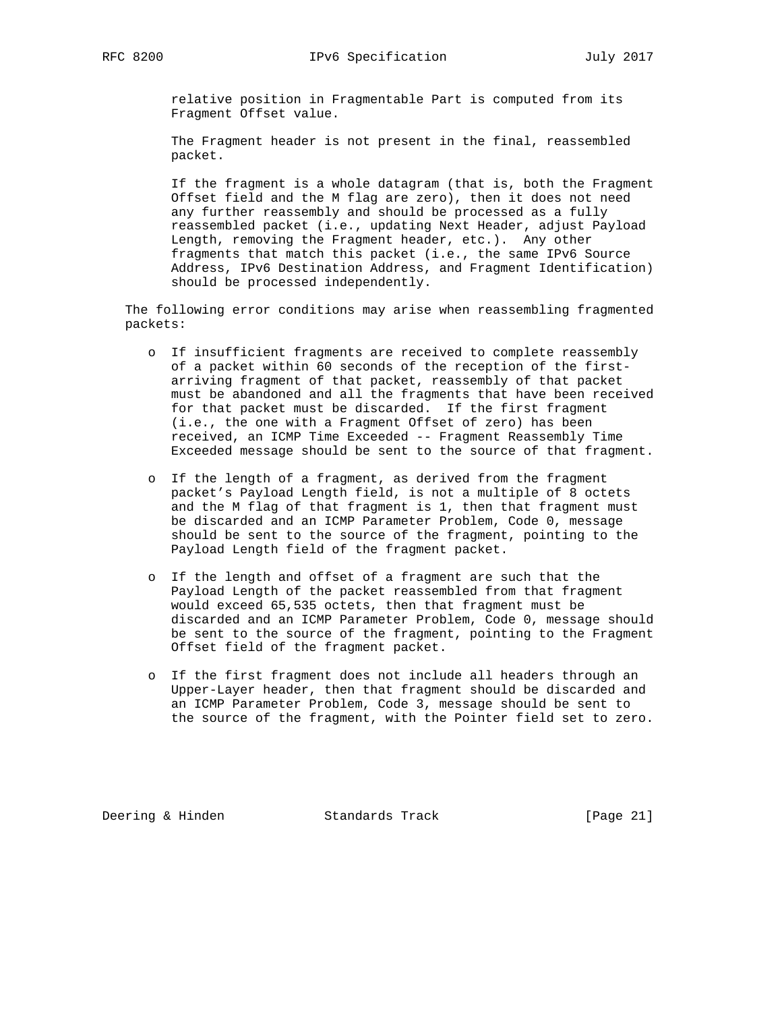relative position in Fragmentable Part is computed from its Fragment Offset value.

 The Fragment header is not present in the final, reassembled packet.

 If the fragment is a whole datagram (that is, both the Fragment Offset field and the M flag are zero), then it does not need any further reassembly and should be processed as a fully reassembled packet (i.e., updating Next Header, adjust Payload Length, removing the Fragment header, etc.). Any other fragments that match this packet (i.e., the same IPv6 Source Address, IPv6 Destination Address, and Fragment Identification) should be processed independently.

 The following error conditions may arise when reassembling fragmented packets:

- o If insufficient fragments are received to complete reassembly of a packet within 60 seconds of the reception of the first arriving fragment of that packet, reassembly of that packet must be abandoned and all the fragments that have been received for that packet must be discarded. If the first fragment (i.e., the one with a Fragment Offset of zero) has been received, an ICMP Time Exceeded -- Fragment Reassembly Time Exceeded message should be sent to the source of that fragment.
- o If the length of a fragment, as derived from the fragment packet's Payload Length field, is not a multiple of 8 octets and the M flag of that fragment is 1, then that fragment must be discarded and an ICMP Parameter Problem, Code 0, message should be sent to the source of the fragment, pointing to the Payload Length field of the fragment packet.
- o If the length and offset of a fragment are such that the Payload Length of the packet reassembled from that fragment would exceed 65,535 octets, then that fragment must be discarded and an ICMP Parameter Problem, Code 0, message should be sent to the source of the fragment, pointing to the Fragment Offset field of the fragment packet.
- o If the first fragment does not include all headers through an Upper-Layer header, then that fragment should be discarded and an ICMP Parameter Problem, Code 3, message should be sent to the source of the fragment, with the Pointer field set to zero.

Deering & Hinden Standards Track [Page 21]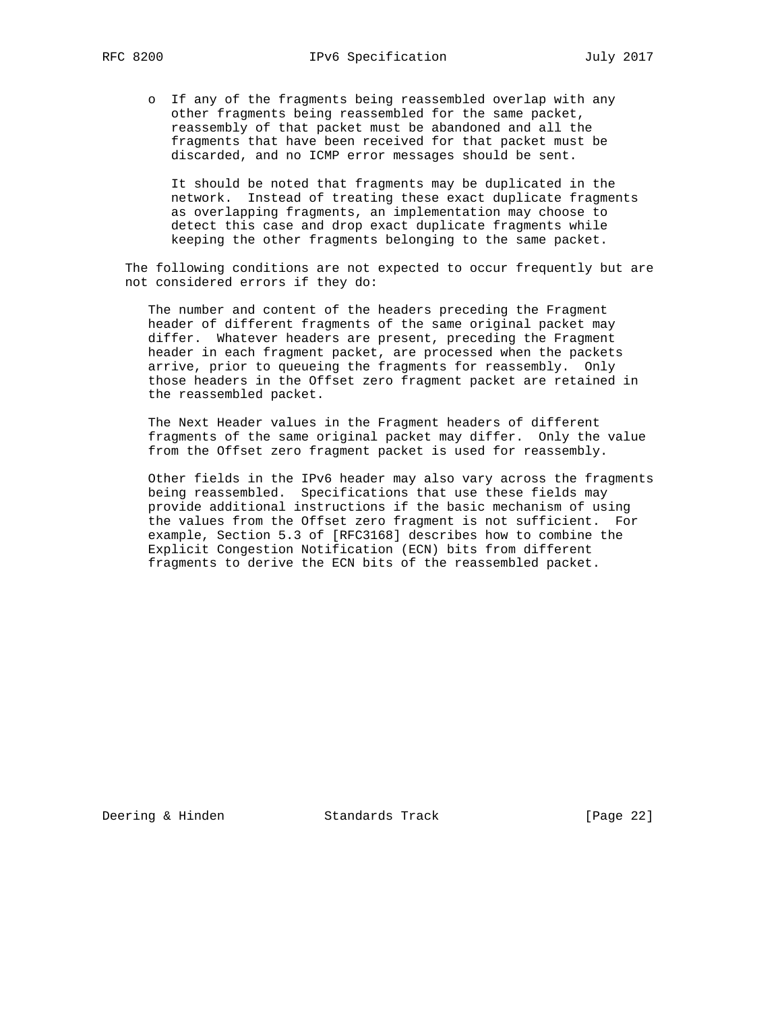o If any of the fragments being reassembled overlap with any other fragments being reassembled for the same packet, reassembly of that packet must be abandoned and all the fragments that have been received for that packet must be discarded, and no ICMP error messages should be sent.

 It should be noted that fragments may be duplicated in the network. Instead of treating these exact duplicate fragments as overlapping fragments, an implementation may choose to detect this case and drop exact duplicate fragments while keeping the other fragments belonging to the same packet.

 The following conditions are not expected to occur frequently but are not considered errors if they do:

 The number and content of the headers preceding the Fragment header of different fragments of the same original packet may differ. Whatever headers are present, preceding the Fragment header in each fragment packet, are processed when the packets arrive, prior to queueing the fragments for reassembly. Only those headers in the Offset zero fragment packet are retained in the reassembled packet.

 The Next Header values in the Fragment headers of different fragments of the same original packet may differ. Only the value from the Offset zero fragment packet is used for reassembly.

 Other fields in the IPv6 header may also vary across the fragments being reassembled. Specifications that use these fields may provide additional instructions if the basic mechanism of using the values from the Offset zero fragment is not sufficient. For example, Section 5.3 of [RFC3168] describes how to combine the Explicit Congestion Notification (ECN) bits from different fragments to derive the ECN bits of the reassembled packet.

Deering & Hinden Standards Track [Page 22]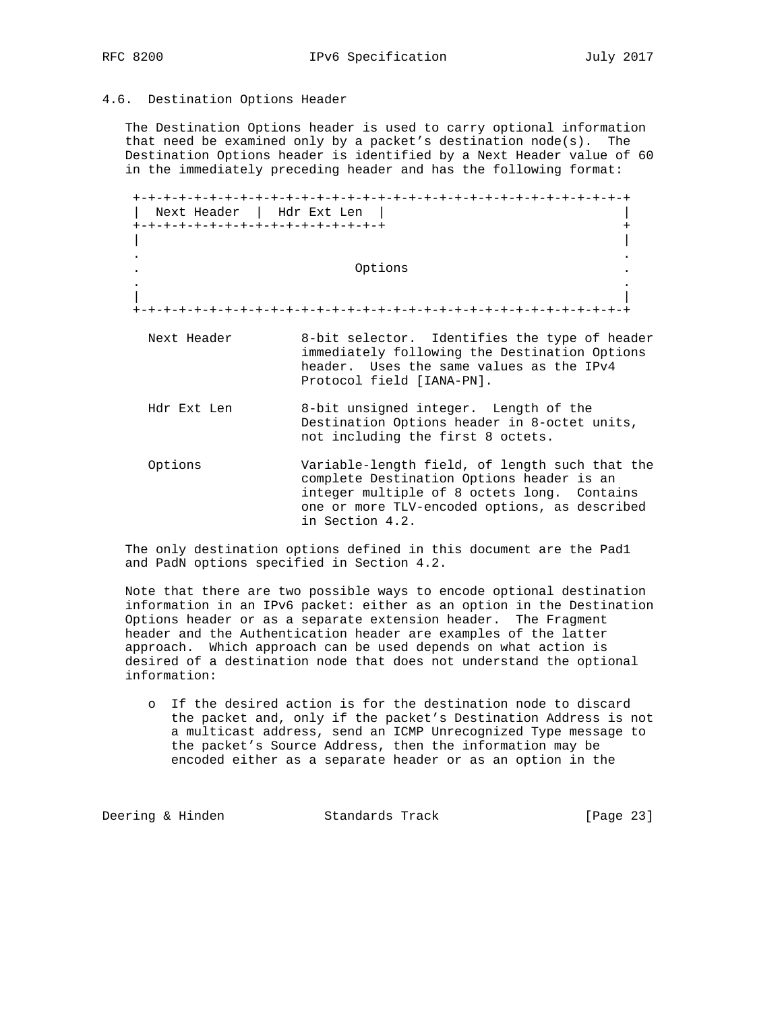#### 4.6. Destination Options Header

 The Destination Options header is used to carry optional information that need be examined only by a packet's destination node(s). The Destination Options header is identified by a Next Header value of 60 in the immediately preceding header and has the following format:

 +-+-+-+-+-+-+-+-+-+-+-+-+-+-+-+-+-+-+-+-+-+-+-+-+-+-+-+-+-+-+-+-+ | Next Header | Hdr Ext Len | | +-+-+-+-+-+-+-+-+-+-+-+-+-+-+-+-+ + | | . . . Options . . . | | +-+-+-+-+-+-+-+-+-+-+-+-+-+-+-+-+-+-+-+-+-+-+-+-+-+-+-+-+-+-+-+-+ Next Header 8-bit selector. Identifies the type of header immediately following the Destination Options header. Uses the same values as the IPv4 Protocol field [IANA-PN]. Hdr Ext Len 8-bit unsigned integer. Length of the Destination Options header in 8-octet units, not including the first 8 octets. Options Variable-length field, of length such that the complete Destination Options header is an integer multiple of 8 octets long. Contains one or more TLV-encoded options, as described in Section 4.2.

 The only destination options defined in this document are the Pad1 and PadN options specified in Section 4.2.

 Note that there are two possible ways to encode optional destination information in an IPv6 packet: either as an option in the Destination Options header or as a separate extension header. The Fragment header and the Authentication header are examples of the latter approach. Which approach can be used depends on what action is desired of a destination node that does not understand the optional information:

 o If the desired action is for the destination node to discard the packet and, only if the packet's Destination Address is not a multicast address, send an ICMP Unrecognized Type message to the packet's Source Address, then the information may be encoded either as a separate header or as an option in the

Deering & Hinden Standards Track [Page 23]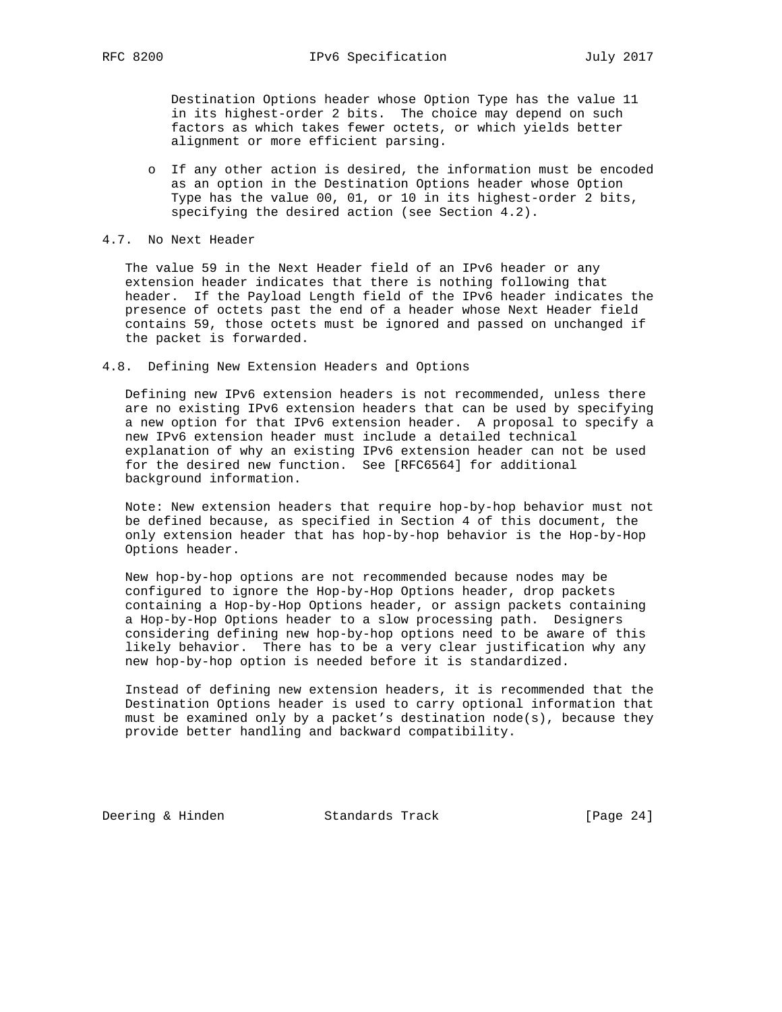Destination Options header whose Option Type has the value 11 in its highest-order 2 bits. The choice may depend on such factors as which takes fewer octets, or which yields better alignment or more efficient parsing.

- o If any other action is desired, the information must be encoded as an option in the Destination Options header whose Option Type has the value 00, 01, or 10 in its highest-order 2 bits, specifying the desired action (see Section 4.2).
- 4.7. No Next Header

 The value 59 in the Next Header field of an IPv6 header or any extension header indicates that there is nothing following that header. If the Payload Length field of the IPv6 header indicates the presence of octets past the end of a header whose Next Header field contains 59, those octets must be ignored and passed on unchanged if the packet is forwarded.

4.8. Defining New Extension Headers and Options

 Defining new IPv6 extension headers is not recommended, unless there are no existing IPv6 extension headers that can be used by specifying a new option for that IPv6 extension header. A proposal to specify a new IPv6 extension header must include a detailed technical explanation of why an existing IPv6 extension header can not be used for the desired new function. See [RFC6564] for additional background information.

 Note: New extension headers that require hop-by-hop behavior must not be defined because, as specified in Section 4 of this document, the only extension header that has hop-by-hop behavior is the Hop-by-Hop Options header.

 New hop-by-hop options are not recommended because nodes may be configured to ignore the Hop-by-Hop Options header, drop packets containing a Hop-by-Hop Options header, or assign packets containing a Hop-by-Hop Options header to a slow processing path. Designers considering defining new hop-by-hop options need to be aware of this likely behavior. There has to be a very clear justification why any new hop-by-hop option is needed before it is standardized.

 Instead of defining new extension headers, it is recommended that the Destination Options header is used to carry optional information that must be examined only by a packet's destination  $node(s)$ , because they provide better handling and backward compatibility.

Deering & Hinden Standards Track [Page 24]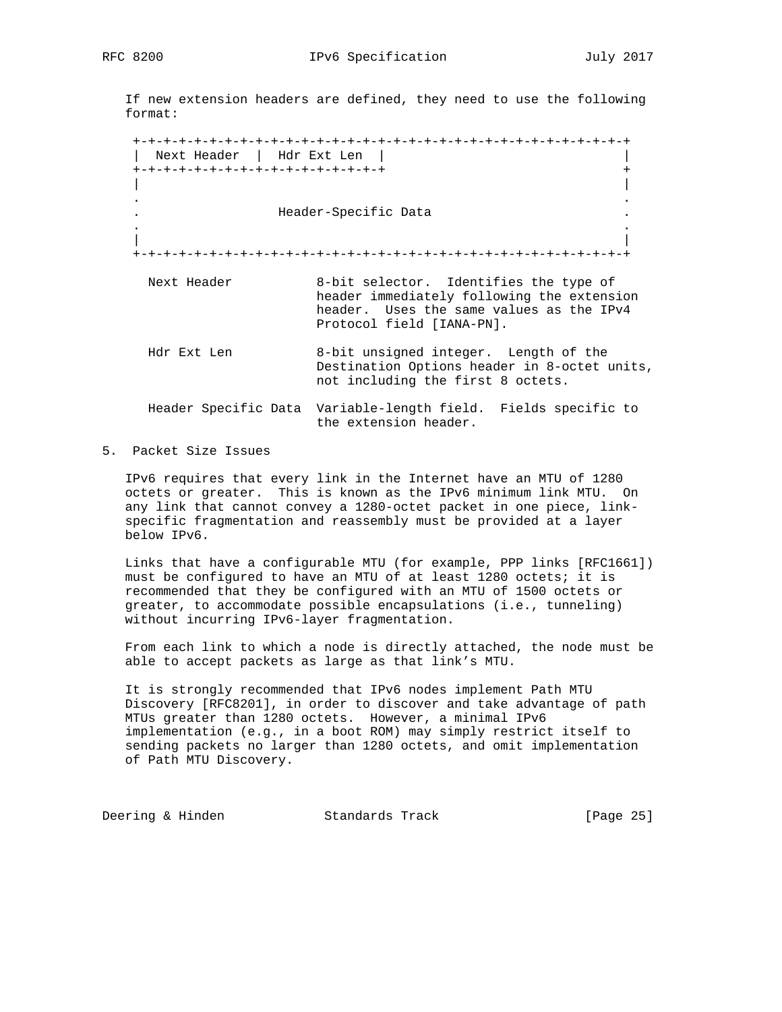If new extension headers are defined, they need to use the following format:

 +-+-+-+-+-+-+-+-+-+-+-+-+-+-+-+-+-+-+-+-+-+-+-+-+-+-+-+-+-+-+-+-+ | Next Header | Hdr Ext Len | | +-+-+-+-+-+-+-+-+-+-+-+-+-+-+-+-+ + | | . . . Header-Specific Data . . . | | +-+-+-+-+-+-+-+-+-+-+-+-+-+-+-+-+-+-+-+-+-+-+-+-+-+-+-+-+-+-+-+-+ Next Header 8-bit selector. Identifies the type of header immediately following the extension header. Uses the same values as the IPv4 Protocol field [IANA-PN]. Hdr Ext Len 8-bit unsigned integer. Length of the Destination Options header in 8-octet units, not including the first 8 octets. Header Specific Data Variable-length field. Fields specific to the extension header.

5. Packet Size Issues

 IPv6 requires that every link in the Internet have an MTU of 1280 octets or greater. This is known as the IPv6 minimum link MTU. On any link that cannot convey a 1280-octet packet in one piece, link specific fragmentation and reassembly must be provided at a layer below IPv6.

 Links that have a configurable MTU (for example, PPP links [RFC1661]) must be configured to have an MTU of at least 1280 octets; it is recommended that they be configured with an MTU of 1500 octets or greater, to accommodate possible encapsulations (i.e., tunneling) without incurring IPv6-layer fragmentation.

 From each link to which a node is directly attached, the node must be able to accept packets as large as that link's MTU.

 It is strongly recommended that IPv6 nodes implement Path MTU Discovery [RFC8201], in order to discover and take advantage of path MTUs greater than 1280 octets. However, a minimal IPv6 implementation (e.g., in a boot ROM) may simply restrict itself to sending packets no larger than 1280 octets, and omit implementation of Path MTU Discovery.

Deering & Hinden Standards Track [Page 25]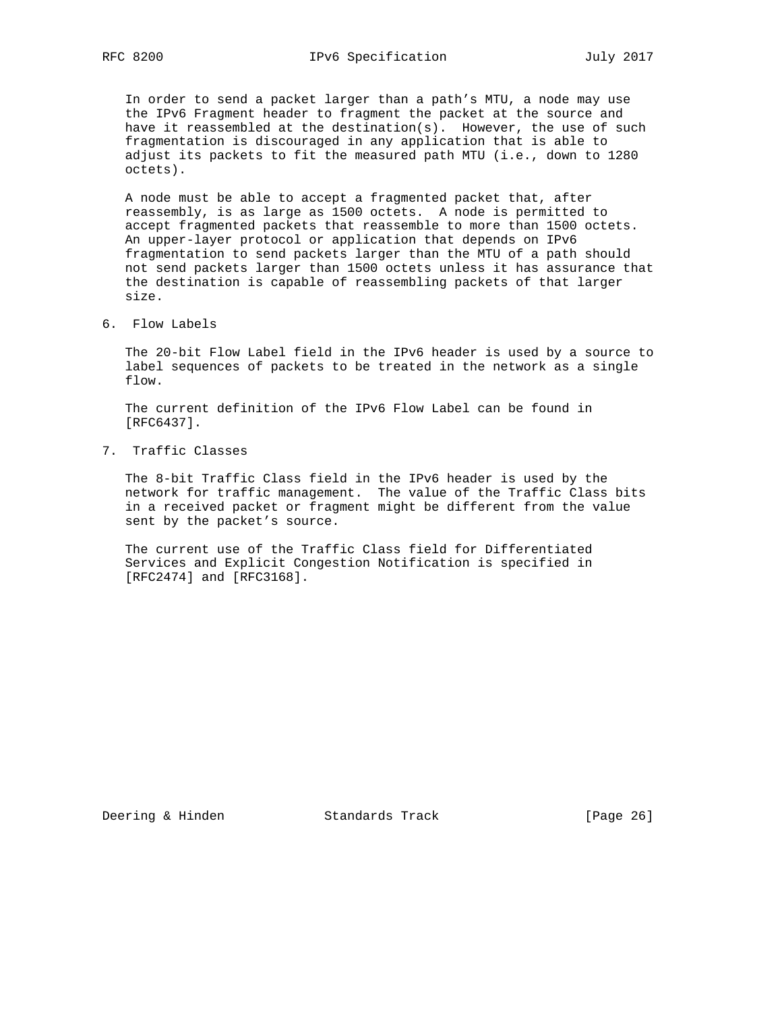In order to send a packet larger than a path's MTU, a node may use the IPv6 Fragment header to fragment the packet at the source and have it reassembled at the destination(s). However, the use of such fragmentation is discouraged in any application that is able to adjust its packets to fit the measured path MTU (i.e., down to 1280 octets).

 A node must be able to accept a fragmented packet that, after reassembly, is as large as 1500 octets. A node is permitted to accept fragmented packets that reassemble to more than 1500 octets. An upper-layer protocol or application that depends on IPv6 fragmentation to send packets larger than the MTU of a path should not send packets larger than 1500 octets unless it has assurance that the destination is capable of reassembling packets of that larger size.

6. Flow Labels

 The 20-bit Flow Label field in the IPv6 header is used by a source to label sequences of packets to be treated in the network as a single flow.

 The current definition of the IPv6 Flow Label can be found in [RFC6437].

7. Traffic Classes

 The 8-bit Traffic Class field in the IPv6 header is used by the network for traffic management. The value of the Traffic Class bits in a received packet or fragment might be different from the value sent by the packet's source.

 The current use of the Traffic Class field for Differentiated Services and Explicit Congestion Notification is specified in [RFC2474] and [RFC3168].

Deering & Hinden Standards Track [Page 26]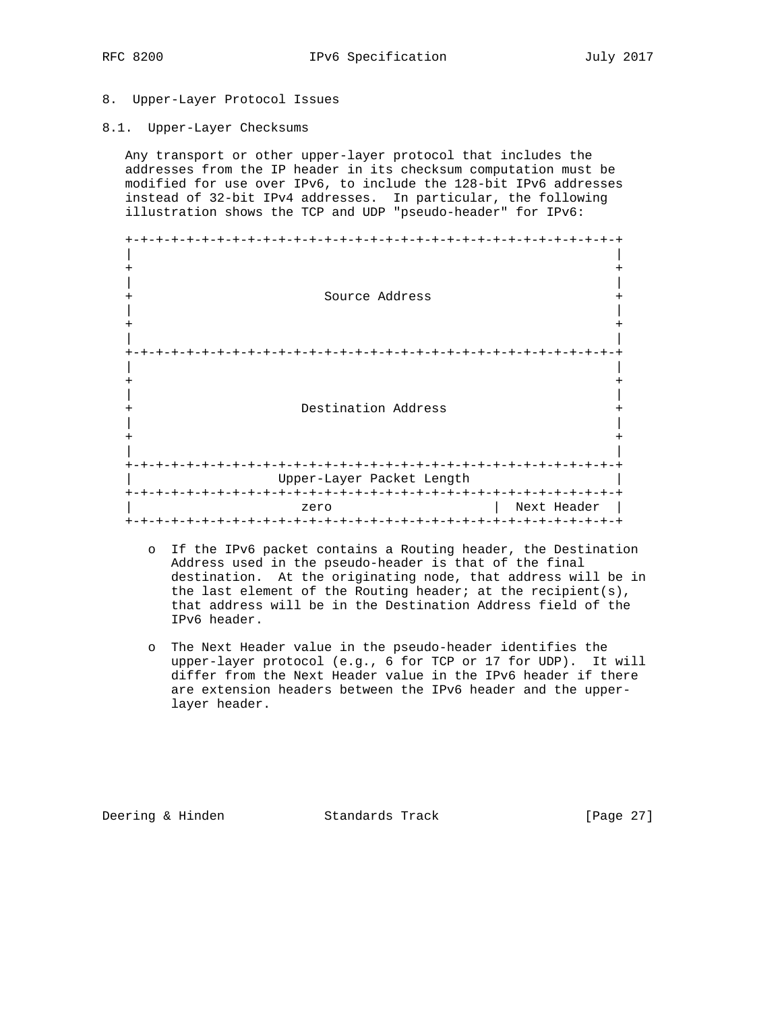#### 8. Upper-Layer Protocol Issues

8.1. Upper-Layer Checksums

 Any transport or other upper-layer protocol that includes the addresses from the IP header in its checksum computation must be modified for use over IPv6, to include the 128-bit IPv6 addresses instead of 32-bit IPv4 addresses. In particular, the following illustration shows the TCP and UDP "pseudo-header" for IPv6:

|                     | $- + - + - + - + - +$     |                            |
|---------------------|---------------------------|----------------------------|
|                     |                           |                            |
|                     |                           |                            |
|                     |                           |                            |
|                     | Source Address            |                            |
|                     |                           |                            |
|                     |                           |                            |
|                     |                           |                            |
|                     |                           |                            |
|                     |                           |                            |
|                     |                           |                            |
|                     |                           |                            |
|                     |                           |                            |
|                     | Destination Address       |                            |
|                     |                           |                            |
|                     |                           |                            |
|                     |                           |                            |
|                     |                           |                            |
| $+ - + - + - + - +$ |                           | $-+ - + - + - + - + - + -$ |
|                     | Upper-Layer Packet Length |                            |
|                     |                           |                            |
|                     | zero                      | Next Header                |
|                     |                           |                            |

- o If the IPv6 packet contains a Routing header, the Destination Address used in the pseudo-header is that of the final destination. At the originating node, that address will be in the last element of the Routing header; at the recipient(s), that address will be in the Destination Address field of the IPv6 header.
- o The Next Header value in the pseudo-header identifies the upper-layer protocol (e.g., 6 for TCP or 17 for UDP). It will differ from the Next Header value in the IPv6 header if there are extension headers between the IPv6 header and the upper layer header.

Deering & Hinden Standards Track [Page 27]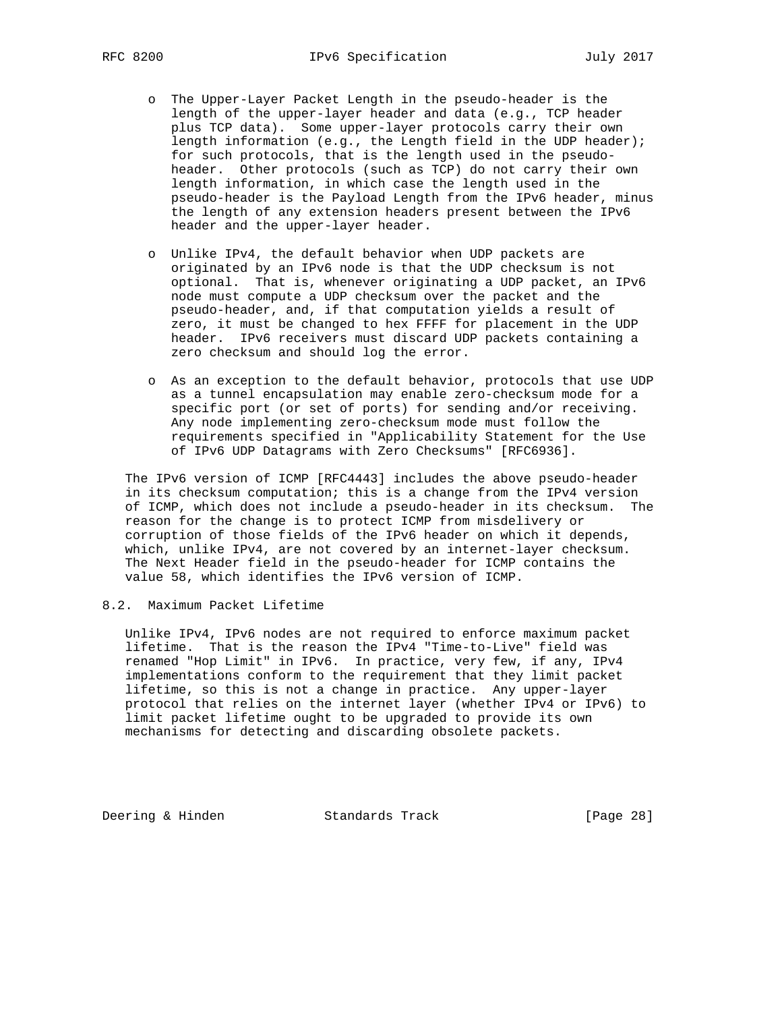- o The Upper-Layer Packet Length in the pseudo-header is the length of the upper-layer header and data (e.g., TCP header plus TCP data). Some upper-layer protocols carry their own length information (e.g., the Length field in the UDP header); for such protocols, that is the length used in the pseudo header. Other protocols (such as TCP) do not carry their own length information, in which case the length used in the pseudo-header is the Payload Length from the IPv6 header, minus the length of any extension headers present between the IPv6 header and the upper-layer header.
- o Unlike IPv4, the default behavior when UDP packets are originated by an IPv6 node is that the UDP checksum is not optional. That is, whenever originating a UDP packet, an IPv6 node must compute a UDP checksum over the packet and the pseudo-header, and, if that computation yields a result of zero, it must be changed to hex FFFF for placement in the UDP header. IPv6 receivers must discard UDP packets containing a zero checksum and should log the error.
- o As an exception to the default behavior, protocols that use UDP as a tunnel encapsulation may enable zero-checksum mode for a specific port (or set of ports) for sending and/or receiving. Any node implementing zero-checksum mode must follow the requirements specified in "Applicability Statement for the Use of IPv6 UDP Datagrams with Zero Checksums" [RFC6936].

 The IPv6 version of ICMP [RFC4443] includes the above pseudo-header in its checksum computation; this is a change from the IPv4 version of ICMP, which does not include a pseudo-header in its checksum. The reason for the change is to protect ICMP from misdelivery or corruption of those fields of the IPv6 header on which it depends, which, unlike IPv4, are not covered by an internet-layer checksum. The Next Header field in the pseudo-header for ICMP contains the value 58, which identifies the IPv6 version of ICMP.

8.2. Maximum Packet Lifetime

 Unlike IPv4, IPv6 nodes are not required to enforce maximum packet lifetime. That is the reason the IPv4 "Time-to-Live" field was renamed "Hop Limit" in IPv6. In practice, very few, if any, IPv4 implementations conform to the requirement that they limit packet lifetime, so this is not a change in practice. Any upper-layer protocol that relies on the internet layer (whether IPv4 or IPv6) to limit packet lifetime ought to be upgraded to provide its own mechanisms for detecting and discarding obsolete packets.

Deering & Hinden Standards Track [Page 28]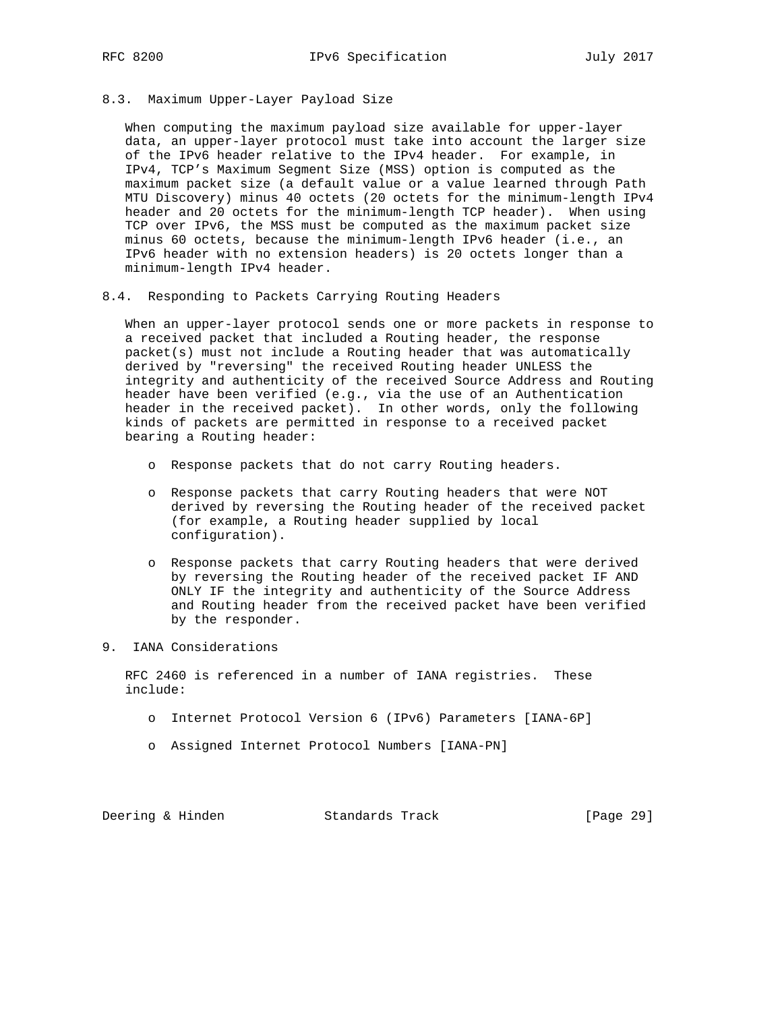8.3. Maximum Upper-Layer Payload Size

 When computing the maximum payload size available for upper-layer data, an upper-layer protocol must take into account the larger size of the IPv6 header relative to the IPv4 header. For example, in IPv4, TCP's Maximum Segment Size (MSS) option is computed as the maximum packet size (a default value or a value learned through Path MTU Discovery) minus 40 octets (20 octets for the minimum-length IPv4 header and 20 octets for the minimum-length TCP header). When using TCP over IPv6, the MSS must be computed as the maximum packet size minus 60 octets, because the minimum-length IPv6 header (i.e., an IPv6 header with no extension headers) is 20 octets longer than a minimum-length IPv4 header.

8.4. Responding to Packets Carrying Routing Headers

 When an upper-layer protocol sends one or more packets in response to a received packet that included a Routing header, the response packet(s) must not include a Routing header that was automatically derived by "reversing" the received Routing header UNLESS the integrity and authenticity of the received Source Address and Routing header have been verified (e.g., via the use of an Authentication header in the received packet). In other words, only the following kinds of packets are permitted in response to a received packet bearing a Routing header:

- o Response packets that do not carry Routing headers.
- o Response packets that carry Routing headers that were NOT derived by reversing the Routing header of the received packet (for example, a Routing header supplied by local configuration).
- o Response packets that carry Routing headers that were derived by reversing the Routing header of the received packet IF AND ONLY IF the integrity and authenticity of the Source Address and Routing header from the received packet have been verified by the responder.
- 9. IANA Considerations

 RFC 2460 is referenced in a number of IANA registries. These include:

- o Internet Protocol Version 6 (IPv6) Parameters [IANA-6P]
- o Assigned Internet Protocol Numbers [IANA-PN]

| Deering & Hinden | Standards Track | [Page 29] |
|------------------|-----------------|-----------|
|------------------|-----------------|-----------|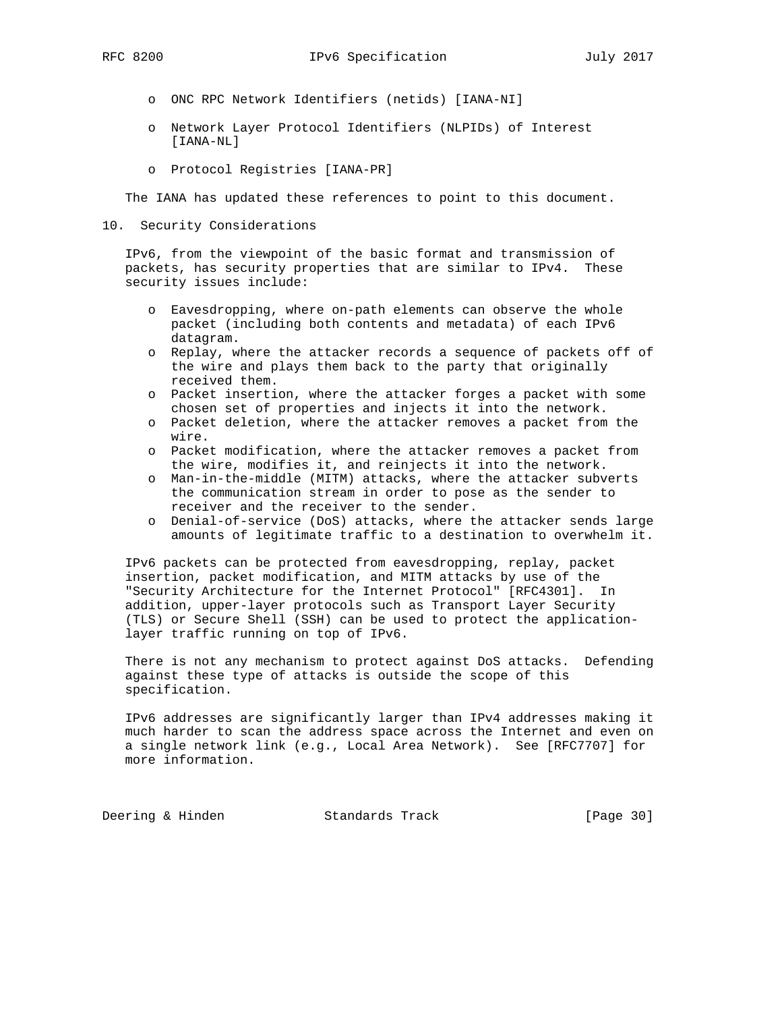- o ONC RPC Network Identifiers (netids) [IANA-NI]
- o Network Layer Protocol Identifiers (NLPIDs) of Interest [IANA-NL]
- o Protocol Registries [IANA-PR]

The IANA has updated these references to point to this document.

10. Security Considerations

 IPv6, from the viewpoint of the basic format and transmission of packets, has security properties that are similar to IPv4. These security issues include:

- o Eavesdropping, where on-path elements can observe the whole packet (including both contents and metadata) of each IPv6 datagram.
- o Replay, where the attacker records a sequence of packets off of the wire and plays them back to the party that originally received them.
- o Packet insertion, where the attacker forges a packet with some chosen set of properties and injects it into the network.
- o Packet deletion, where the attacker removes a packet from the wire.
- o Packet modification, where the attacker removes a packet from the wire, modifies it, and reinjects it into the network.
- o Man-in-the-middle (MITM) attacks, where the attacker subverts the communication stream in order to pose as the sender to receiver and the receiver to the sender.
- o Denial-of-service (DoS) attacks, where the attacker sends large amounts of legitimate traffic to a destination to overwhelm it.

 IPv6 packets can be protected from eavesdropping, replay, packet insertion, packet modification, and MITM attacks by use of the "Security Architecture for the Internet Protocol" [RFC4301]. In addition, upper-layer protocols such as Transport Layer Security (TLS) or Secure Shell (SSH) can be used to protect the application layer traffic running on top of IPv6.

 There is not any mechanism to protect against DoS attacks. Defending against these type of attacks is outside the scope of this specification.

 IPv6 addresses are significantly larger than IPv4 addresses making it much harder to scan the address space across the Internet and even on a single network link (e.g., Local Area Network). See [RFC7707] for more information.

Deering & Hinden Standards Track [Page 30]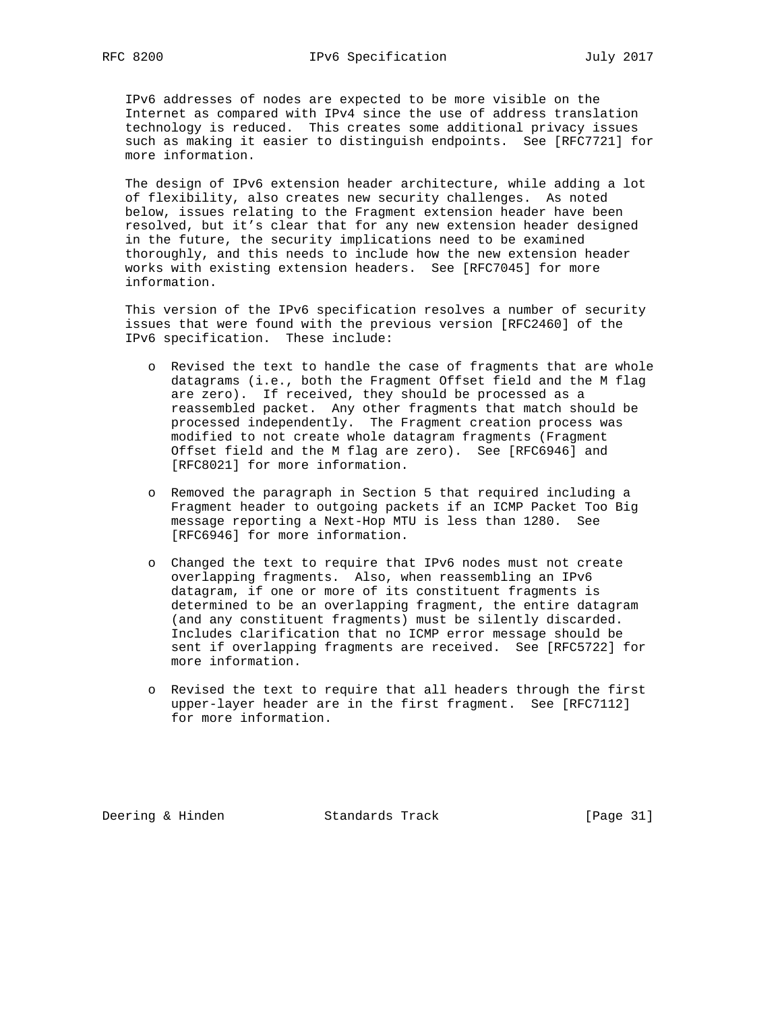IPv6 addresses of nodes are expected to be more visible on the Internet as compared with IPv4 since the use of address translation technology is reduced. This creates some additional privacy issues such as making it easier to distinguish endpoints. See [RFC7721] for more information.

 The design of IPv6 extension header architecture, while adding a lot of flexibility, also creates new security challenges. As noted below, issues relating to the Fragment extension header have been resolved, but it's clear that for any new extension header designed in the future, the security implications need to be examined thoroughly, and this needs to include how the new extension header works with existing extension headers. See [RFC7045] for more information.

 This version of the IPv6 specification resolves a number of security issues that were found with the previous version [RFC2460] of the IPv6 specification. These include:

- o Revised the text to handle the case of fragments that are whole datagrams (i.e., both the Fragment Offset field and the M flag are zero). If received, they should be processed as a reassembled packet. Any other fragments that match should be processed independently. The Fragment creation process was modified to not create whole datagram fragments (Fragment Offset field and the M flag are zero). See [RFC6946] and [RFC8021] for more information.
- o Removed the paragraph in Section 5 that required including a Fragment header to outgoing packets if an ICMP Packet Too Big message reporting a Next-Hop MTU is less than 1280. See [RFC6946] for more information.
- o Changed the text to require that IPv6 nodes must not create overlapping fragments. Also, when reassembling an IPv6 datagram, if one or more of its constituent fragments is determined to be an overlapping fragment, the entire datagram (and any constituent fragments) must be silently discarded. Includes clarification that no ICMP error message should be sent if overlapping fragments are received. See [RFC5722] for more information.
- o Revised the text to require that all headers through the first upper-layer header are in the first fragment. See [RFC7112] for more information.

Deering & Hinden Standards Track [Page 31]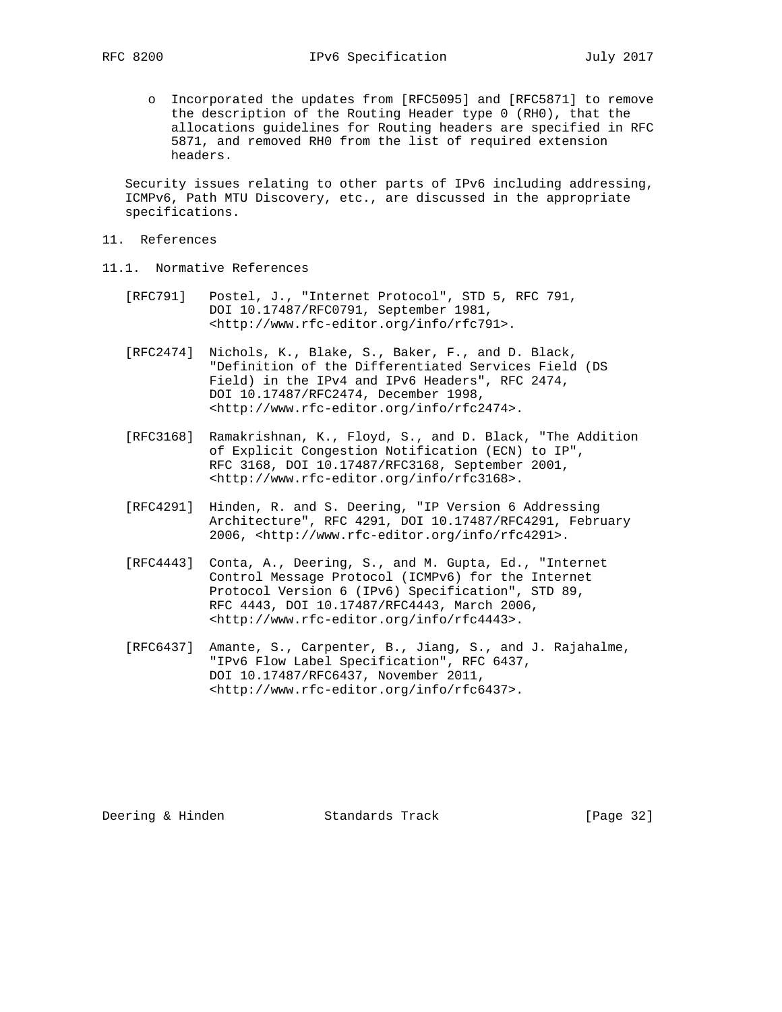o Incorporated the updates from [RFC5095] and [RFC5871] to remove the description of the Routing Header type 0 (RH0), that the allocations guidelines for Routing headers are specified in RFC 5871, and removed RH0 from the list of required extension headers.

 Security issues relating to other parts of IPv6 including addressing, ICMPv6, Path MTU Discovery, etc., are discussed in the appropriate specifications.

- 11. References
- 11.1. Normative References
	- [RFC791] Postel, J., "Internet Protocol", STD 5, RFC 791, DOI 10.17487/RFC0791, September 1981, <http://www.rfc-editor.org/info/rfc791>.
	- [RFC2474] Nichols, K., Blake, S., Baker, F., and D. Black, "Definition of the Differentiated Services Field (DS Field) in the IPv4 and IPv6 Headers", RFC 2474, DOI 10.17487/RFC2474, December 1998, <http://www.rfc-editor.org/info/rfc2474>.
	- [RFC3168] Ramakrishnan, K., Floyd, S., and D. Black, "The Addition of Explicit Congestion Notification (ECN) to IP", RFC 3168, DOI 10.17487/RFC3168, September 2001, <http://www.rfc-editor.org/info/rfc3168>.
	- [RFC4291] Hinden, R. and S. Deering, "IP Version 6 Addressing Architecture", RFC 4291, DOI 10.17487/RFC4291, February 2006, <http://www.rfc-editor.org/info/rfc4291>.
	- [RFC4443] Conta, A., Deering, S., and M. Gupta, Ed., "Internet Control Message Protocol (ICMPv6) for the Internet Protocol Version 6 (IPv6) Specification", STD 89, RFC 4443, DOI 10.17487/RFC4443, March 2006, <http://www.rfc-editor.org/info/rfc4443>.
	- [RFC6437] Amante, S., Carpenter, B., Jiang, S., and J. Rajahalme, "IPv6 Flow Label Specification", RFC 6437, DOI 10.17487/RFC6437, November 2011, <http://www.rfc-editor.org/info/rfc6437>.

Deering & Hinden Standards Track [Page 32]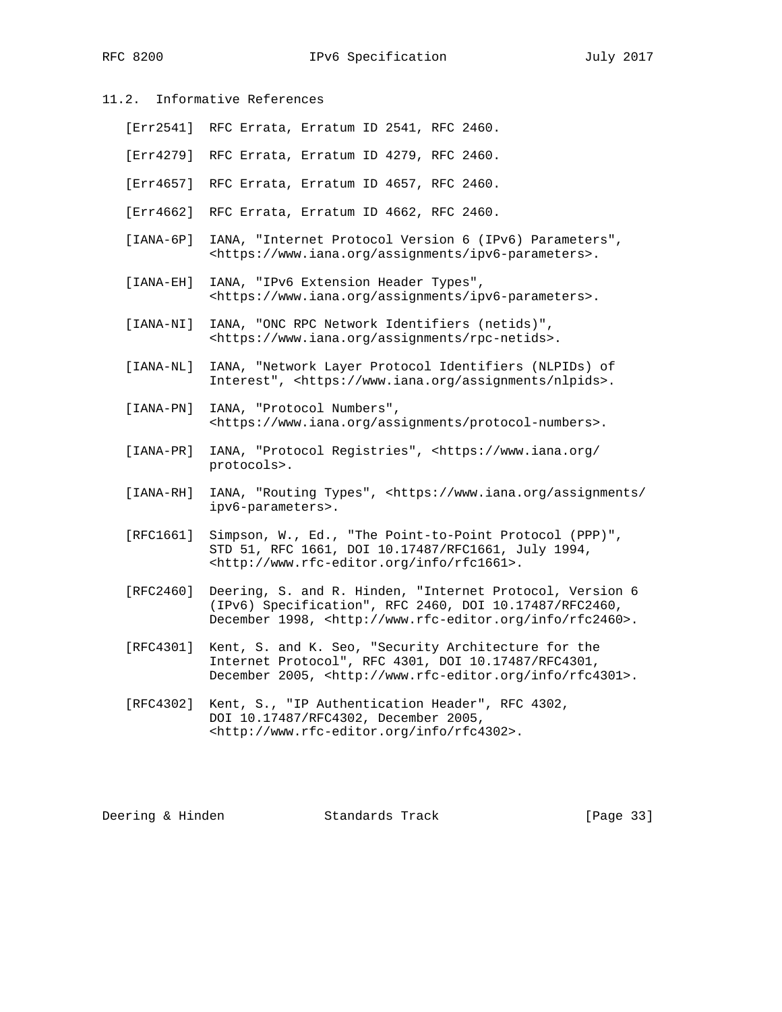- 11.2. Informative References
	- [Err2541] RFC Errata, Erratum ID 2541, RFC 2460.
	- [Err4279] RFC Errata, Erratum ID 4279, RFC 2460.
	- [Err4657] RFC Errata, Erratum ID 4657, RFC 2460.
	- [Err4662] RFC Errata, Erratum ID 4662, RFC 2460.
	- [IANA-6P] IANA, "Internet Protocol Version 6 (IPv6) Parameters", <https://www.iana.org/assignments/ipv6-parameters>.
	- [IANA-EH] IANA, "IPv6 Extension Header Types", <https://www.iana.org/assignments/ipv6-parameters>.
	- [IANA-NI] IANA, "ONC RPC Network Identifiers (netids)", <https://www.iana.org/assignments/rpc-netids>.
	- [IANA-NL] IANA, "Network Layer Protocol Identifiers (NLPIDs) of Interest", <https://www.iana.org/assignments/nlpids>.
	- [IANA-PN] IANA, "Protocol Numbers", <https://www.iana.org/assignments/protocol-numbers>.
	- [IANA-PR] IANA, "Protocol Registries", <https://www.iana.org/ protocols>.
	- [IANA-RH] IANA, "Routing Types", <https://www.iana.org/assignments/ ipv6-parameters>.
	- [RFC1661] Simpson, W., Ed., "The Point-to-Point Protocol (PPP)", STD 51, RFC 1661, DOI 10.17487/RFC1661, July 1994, <http://www.rfc-editor.org/info/rfc1661>.
	- [RFC2460] Deering, S. and R. Hinden, "Internet Protocol, Version 6 (IPv6) Specification", RFC 2460, DOI 10.17487/RFC2460, December 1998, <http://www.rfc-editor.org/info/rfc2460>.
	- [RFC4301] Kent, S. and K. Seo, "Security Architecture for the Internet Protocol", RFC 4301, DOI 10.17487/RFC4301, December 2005, <http://www.rfc-editor.org/info/rfc4301>.
	- [RFC4302] Kent, S., "IP Authentication Header", RFC 4302, DOI 10.17487/RFC4302, December 2005, <http://www.rfc-editor.org/info/rfc4302>.

Deering & Hinden Standards Track [Page 33]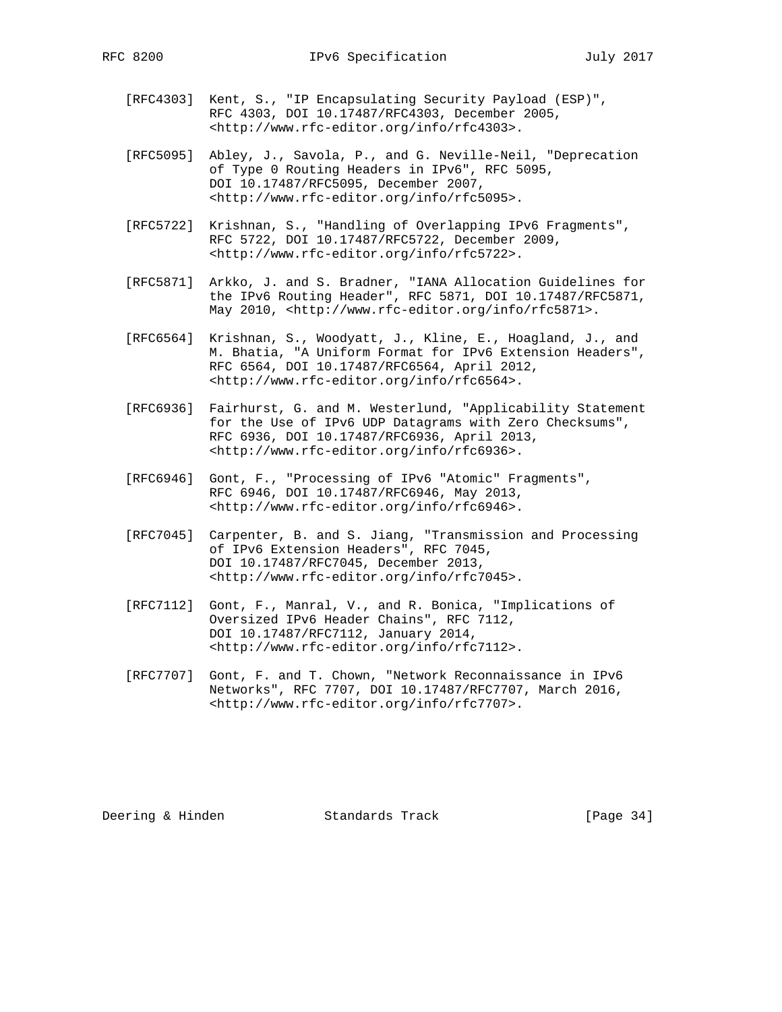- [RFC4303] Kent, S., "IP Encapsulating Security Payload (ESP)", RFC 4303, DOI 10.17487/RFC4303, December 2005, <http://www.rfc-editor.org/info/rfc4303>.
- [RFC5095] Abley, J., Savola, P., and G. Neville-Neil, "Deprecation of Type 0 Routing Headers in IPv6", RFC 5095, DOI 10.17487/RFC5095, December 2007, <http://www.rfc-editor.org/info/rfc5095>.
- [RFC5722] Krishnan, S., "Handling of Overlapping IPv6 Fragments", RFC 5722, DOI 10.17487/RFC5722, December 2009, <http://www.rfc-editor.org/info/rfc5722>.
- [RFC5871] Arkko, J. and S. Bradner, "IANA Allocation Guidelines for the IPv6 Routing Header", RFC 5871, DOI 10.17487/RFC5871, May 2010, <http://www.rfc-editor.org/info/rfc5871>.
- [RFC6564] Krishnan, S., Woodyatt, J., Kline, E., Hoagland, J., and M. Bhatia, "A Uniform Format for IPv6 Extension Headers", RFC 6564, DOI 10.17487/RFC6564, April 2012, <http://www.rfc-editor.org/info/rfc6564>.
- [RFC6936] Fairhurst, G. and M. Westerlund, "Applicability Statement for the Use of IPv6 UDP Datagrams with Zero Checksums", RFC 6936, DOI 10.17487/RFC6936, April 2013, <http://www.rfc-editor.org/info/rfc6936>.
- [RFC6946] Gont, F., "Processing of IPv6 "Atomic" Fragments", RFC 6946, DOI 10.17487/RFC6946, May 2013, <http://www.rfc-editor.org/info/rfc6946>.
- [RFC7045] Carpenter, B. and S. Jiang, "Transmission and Processing of IPv6 Extension Headers", RFC 7045, DOI 10.17487/RFC7045, December 2013, <http://www.rfc-editor.org/info/rfc7045>.
- [RFC7112] Gont, F., Manral, V., and R. Bonica, "Implications of Oversized IPv6 Header Chains", RFC 7112, DOI 10.17487/RFC7112, January 2014, <http://www.rfc-editor.org/info/rfc7112>.
- [RFC7707] Gont, F. and T. Chown, "Network Reconnaissance in IPv6 Networks", RFC 7707, DOI 10.17487/RFC7707, March 2016, <http://www.rfc-editor.org/info/rfc7707>.

Deering & Hinden Standards Track [Page 34]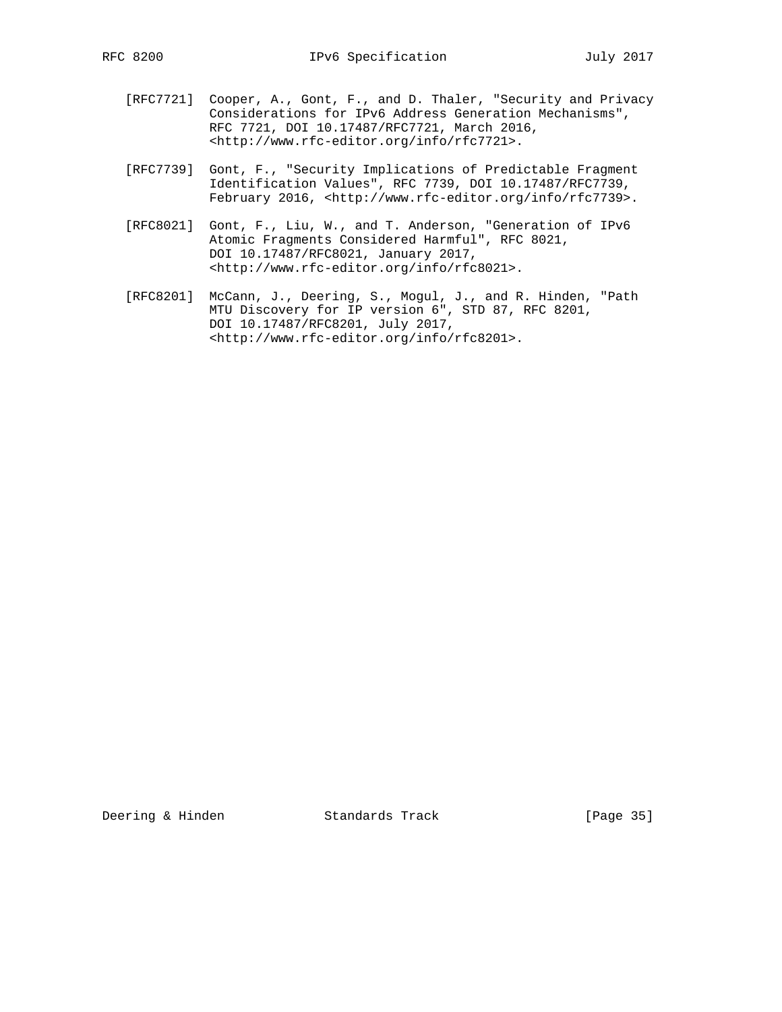- [RFC7721] Cooper, A., Gont, F., and D. Thaler, "Security and Privacy Considerations for IPv6 Address Generation Mechanisms", RFC 7721, DOI 10.17487/RFC7721, March 2016, <http://www.rfc-editor.org/info/rfc7721>.
- [RFC7739] Gont, F., "Security Implications of Predictable Fragment Identification Values", RFC 7739, DOI 10.17487/RFC7739, February 2016, <http://www.rfc-editor.org/info/rfc7739>.
- [RFC8021] Gont, F., Liu, W., and T. Anderson, "Generation of IPv6 Atomic Fragments Considered Harmful", RFC 8021, DOI 10.17487/RFC8021, January 2017, <http://www.rfc-editor.org/info/rfc8021>.
- [RFC8201] McCann, J., Deering, S., Mogul, J., and R. Hinden, "Path MTU Discovery for IP version 6", STD 87, RFC 8201, DOI 10.17487/RFC8201, July 2017, <http://www.rfc-editor.org/info/rfc8201>.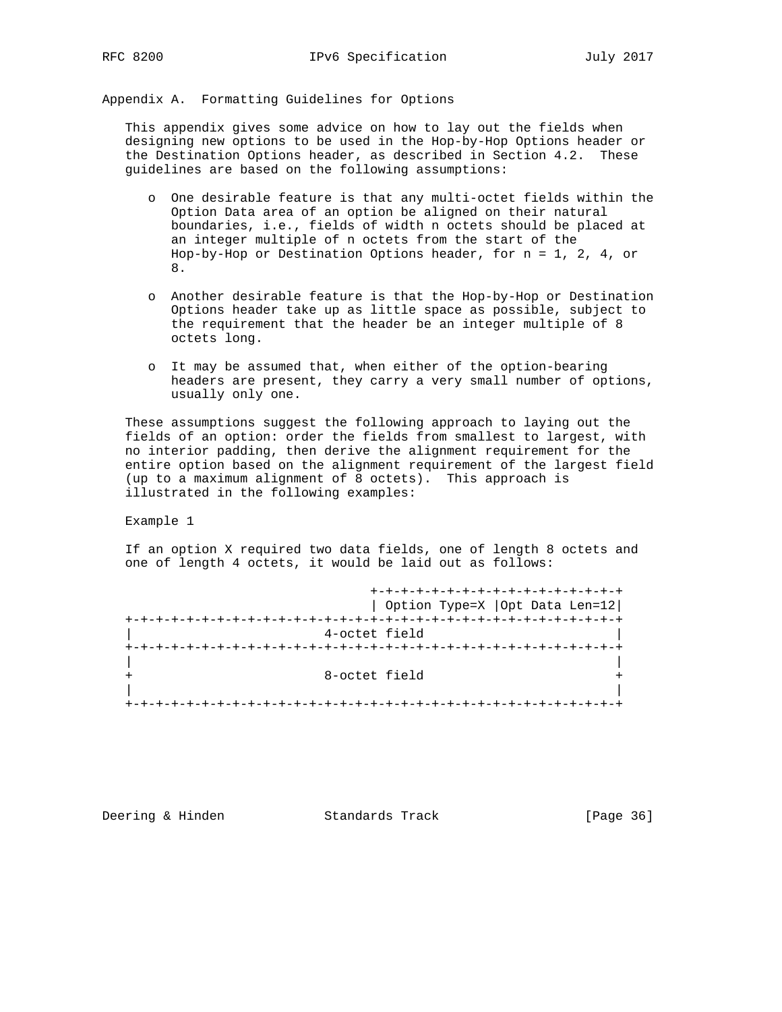Appendix A. Formatting Guidelines for Options

 This appendix gives some advice on how to lay out the fields when designing new options to be used in the Hop-by-Hop Options header or the Destination Options header, as described in Section 4.2. These guidelines are based on the following assumptions:

- o One desirable feature is that any multi-octet fields within the Option Data area of an option be aligned on their natural boundaries, i.e., fields of width n octets should be placed at an integer multiple of n octets from the start of the Hop-by-Hop or Destination Options header, for n = 1, 2, 4, or 8.
- o Another desirable feature is that the Hop-by-Hop or Destination Options header take up as little space as possible, subject to the requirement that the header be an integer multiple of 8 octets long.
- o It may be assumed that, when either of the option-bearing headers are present, they carry a very small number of options, usually only one.

 These assumptions suggest the following approach to laying out the fields of an option: order the fields from smallest to largest, with no interior padding, then derive the alignment requirement for the entire option based on the alignment requirement of the largest field (up to a maximum alignment of 8 octets). This approach is illustrated in the following examples:

Example 1

 If an option X required two data fields, one of length 8 octets and one of length 4 octets, it would be laid out as follows:

| +-+-+-+-+-+-+-+-+-+-+-+-+-+-+-  |
|---------------------------------|
| Option Type=X   Opt Data Len=12 |
| -+-+-+-+-+-+-+-+-+-+-+-+-+-+-+- |
| 4-octet field                   |
|                                 |
|                                 |
| 8-octet field                   |
|                                 |
|                                 |

Deering & Hinden Standards Track [Page 36]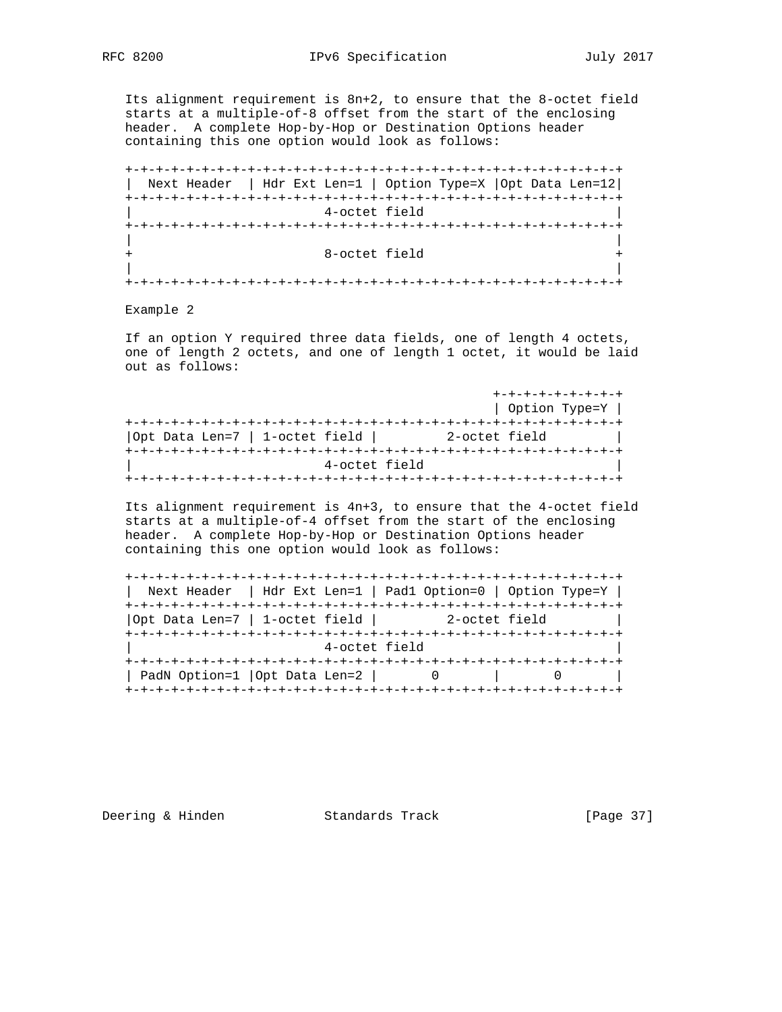Its alignment requirement is 8n+2, to ensure that the 8-octet field starts at a multiple-of-8 offset from the start of the enclosing header. A complete Hop-by-Hop or Destination Options header containing this one option would look as follows:

 +-+-+-+-+-+-+-+-+-+-+-+-+-+-+-+-+-+-+-+-+-+-+-+-+-+-+-+-+-+-+-+-+ | Next Header | Hdr Ext Len=1 | Option Type=X |Opt Data Len=12| +-+-+-+-+-+-+-+-+-+-+-+-+-+-+-+-+-+-+-+-+-+-+-+-+-+-+-+-+-+-+-+-+ 4-octet field +-+-+-+-+-+-+-+-+-+-+-+-+-+-+-+-+-+-+-+-+-+-+-+-+-+-+-+-+-+-+-+-+ | | + 8-octet field + | | +-+-+-+-+-+-+-+-+-+-+-+-+-+-+-+-+-+-+-+-+-+-+-+-+-+-+-+-+-+-+-+-+

Example 2

 If an option Y required three data fields, one of length 4 octets, one of length 2 octets, and one of length 1 octet, it would be laid out as follows:

|                                | +-+-+-+-+-+-+-+ |
|--------------------------------|-----------------|
|                                | Option Type=Y   |
|                                |                 |
| Opt Data Len=7   1-octet field | 2-octet field   |
|                                |                 |
| 4-octet field                  |                 |
|                                |                 |

 Its alignment requirement is 4n+3, to ensure that the 4-octet field starts at a multiple-of-4 offset from the start of the enclosing header. A complete Hop-by-Hop or Destination Options header containing this one option would look as follows:

| Next Header   Hdr Ext Len=1   Padl Option=0   Option Type=Y |  |               |  |  |
|-------------------------------------------------------------|--|---------------|--|--|
|                                                             |  |               |  |  |
| Opt Data Len=7   1-octet field                              |  | 2-octet field |  |  |
|                                                             |  |               |  |  |
| 4-octet field                                               |  |               |  |  |
|                                                             |  |               |  |  |
| PadN Option=1   Opt Data Len=2                              |  |               |  |  |
|                                                             |  |               |  |  |

Deering & Hinden Standards Track [Page 37]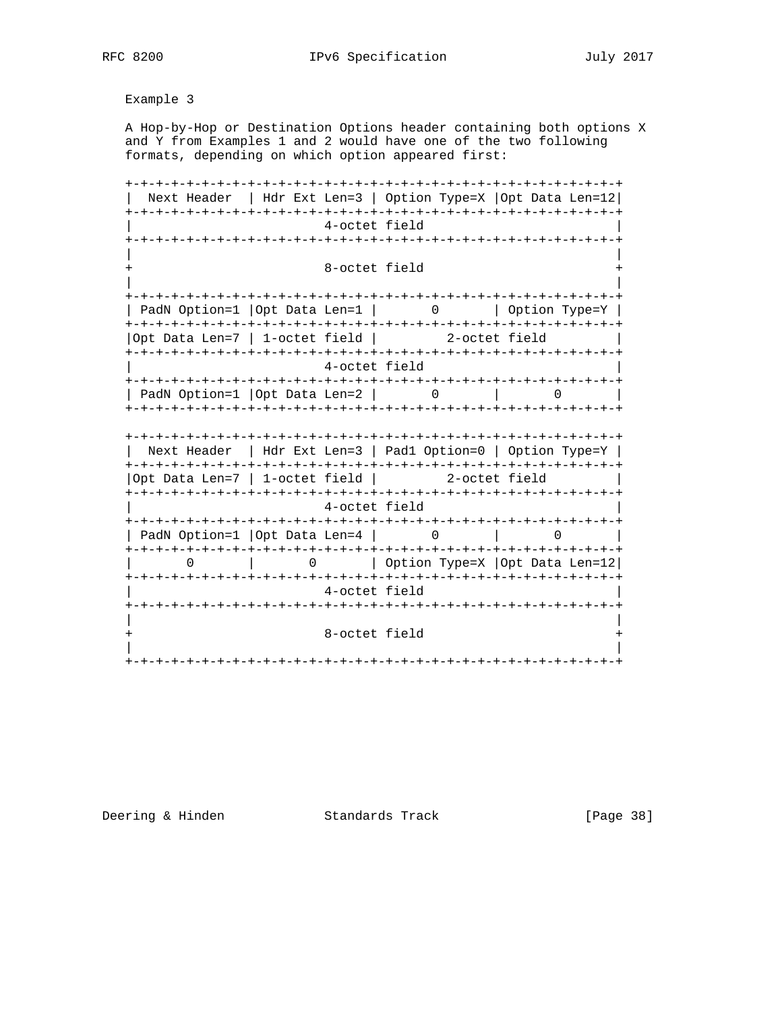RFC 8200 **IPv6** Specification July 2017

Example 3

 A Hop-by-Hop or Destination Options header containing both options X and Y from Examples 1 and 2 would have one of the two following formats, depending on which option appeared first:

 +-+-+-+-+-+-+-+-+-+-+-+-+-+-+-+-+-+-+-+-+-+-+-+-+-+-+-+-+-+-+-+-+ | Next Header | Hdr Ext Len=3 | Option Type=X |Opt Data Len=12| +-+-+-+-+-+-+-+-+-+-+-+-+-+-+-+-+-+-+-+-+-+-+-+-+-+-+-+-+-+-+-+-+ 4-octet field +-+-+-+-+-+-+-+-+-+-+-+-+-+-+-+-+-+-+-+-+-+-+-+-+-+-+-+-+-+-+-+-+ | | 8-octet field | | +-+-+-+-+-+-+-+-+-+-+-+-+-+-+-+-+-+-+-+-+-+-+-+-+-+-+-+-+-+-+-+-+ | PadN Option=1 |Opt Data Len=1 | 0 | Option Type=Y | +-+-+-+-+-+-+-+-+-+-+-+-+-+-+-+-+-+-+-+-+-+-+-+-+-+-+-+-+-+-+-+-+ |Opt Data Len=7 | 1-octet field | 2-octet field | +-+-+-+-+-+-+-+-+-+-+-+-+-+-+-+-+-+-+-+-+-+-+-+-+-+-+-+-+-+-+-+-+ 4-octet field +-+-+-+-+-+-+-+-+-+-+-+-+-+-+-+-+-+-+-+-+-+-+-+-+-+-+-+-+-+-+-+-+ | PadN Option=1 | Opt Data Len=2 | 0 | 0 | +-+-+-+-+-+-+-+-+-+-+-+-+-+-+-+-+-+-+-+-+-+-+-+-+-+-+-+-+-+-+-+-+ +-+-+-+-+-+-+-+-+-+-+-+-+-+-+-+-+-+-+-+-+-+-+-+-+-+-+-+-+-+-+-+-+ | Next Header | Hdr Ext Len=3 | Pad1 Option=0 | Option Type=Y | +-+-+-+-+-+-+-+-+-+-+-+-+-+-+-+-+-+-+-+-+-+-+-+-+-+-+-+-+-+-+-+-+ |Opt Data Len=7 | 1-octet field | 2-octet field | +-+-+-+-+-+-+-+-+-+-+-+-+-+-+-+-+-+-+-+-+-+-+-+-+-+-+-+-+-+-+-+-+ | 4-octet field | +-+-+-+-+-+-+-+-+-+-+-+-+-+-+-+-+-+-+-+-+-+-+-+-+-+-+-+-+-+-+-+-+ | PadN Option=1 |Opt Data Len=4 | 0 | 0 +-+-+-+-+-+-+-+-+-+-+-+-+-+-+-+-+-+-+-+-+-+-+-+-+-+-+-+-+-+-+-+-+ | 0 | 0 | Option Type=X |Opt Data Len=12| +-+-+-+-+-+-+-+-+-+-+-+-+-+-+-+-+-+-+-+-+-+-+-+-+-+-+-+-+-+-+-+-+ 4-octet field +-+-+-+-+-+-+-+-+-+-+-+-+-+-+-+-+-+-+-+-+-+-+-+-+-+-+-+-+-+-+-+-+ | | 8-octet field | | +-+-+-+-+-+-+-+-+-+-+-+-+-+-+-+-+-+-+-+-+-+-+-+-+-+-+-+-+-+-+-+-+

Deering & Hinden Standards Track [Page 38]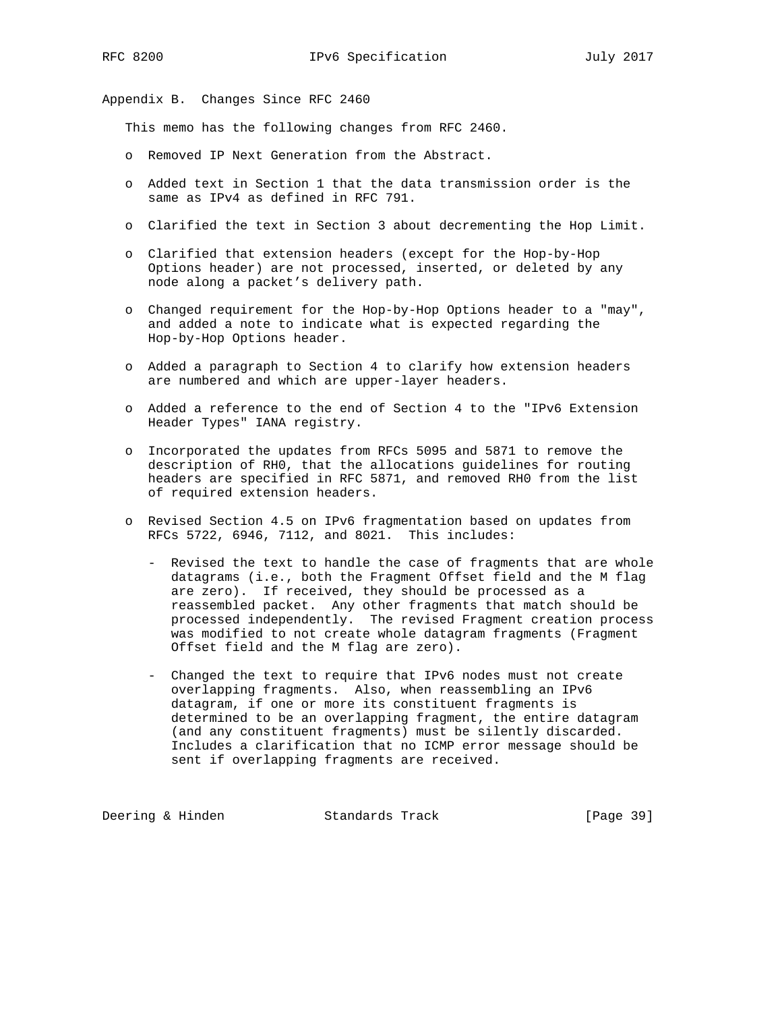Appendix B. Changes Since RFC 2460

This memo has the following changes from RFC 2460.

- o Removed IP Next Generation from the Abstract.
- o Added text in Section 1 that the data transmission order is the same as IPv4 as defined in RFC 791.
- o Clarified the text in Section 3 about decrementing the Hop Limit.
- o Clarified that extension headers (except for the Hop-by-Hop Options header) are not processed, inserted, or deleted by any node along a packet's delivery path.
- o Changed requirement for the Hop-by-Hop Options header to a "may", and added a note to indicate what is expected regarding the Hop-by-Hop Options header.
- o Added a paragraph to Section 4 to clarify how extension headers are numbered and which are upper-layer headers.
- o Added a reference to the end of Section 4 to the "IPv6 Extension Header Types" IANA registry.
- o Incorporated the updates from RFCs 5095 and 5871 to remove the description of RH0, that the allocations guidelines for routing headers are specified in RFC 5871, and removed RH0 from the list of required extension headers.
- o Revised Section 4.5 on IPv6 fragmentation based on updates from RFCs 5722, 6946, 7112, and 8021. This includes:
	- Revised the text to handle the case of fragments that are whole datagrams (i.e., both the Fragment Offset field and the M flag are zero). If received, they should be processed as a reassembled packet. Any other fragments that match should be processed independently. The revised Fragment creation process was modified to not create whole datagram fragments (Fragment Offset field and the M flag are zero).
	- Changed the text to require that IPv6 nodes must not create overlapping fragments. Also, when reassembling an IPv6 datagram, if one or more its constituent fragments is determined to be an overlapping fragment, the entire datagram (and any constituent fragments) must be silently discarded. Includes a clarification that no ICMP error message should be sent if overlapping fragments are received.

Deering & Hinden Standards Track [Page 39]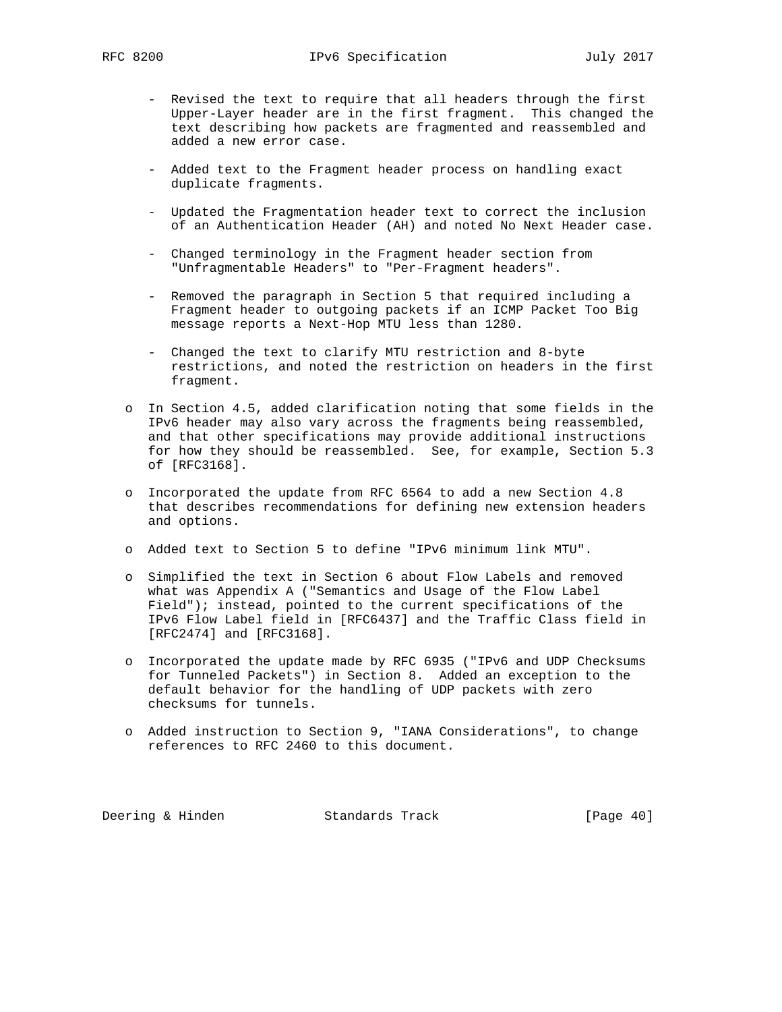- Revised the text to require that all headers through the first Upper-Layer header are in the first fragment. This changed the text describing how packets are fragmented and reassembled and added a new error case.
- Added text to the Fragment header process on handling exact duplicate fragments.
- Updated the Fragmentation header text to correct the inclusion of an Authentication Header (AH) and noted No Next Header case.
- Changed terminology in the Fragment header section from "Unfragmentable Headers" to "Per-Fragment headers".
- Removed the paragraph in Section 5 that required including a Fragment header to outgoing packets if an ICMP Packet Too Big message reports a Next-Hop MTU less than 1280.
- Changed the text to clarify MTU restriction and 8-byte restrictions, and noted the restriction on headers in the first fragment.
- o In Section 4.5, added clarification noting that some fields in the IPv6 header may also vary across the fragments being reassembled, and that other specifications may provide additional instructions for how they should be reassembled. See, for example, Section 5.3 of [RFC3168].
- o Incorporated the update from RFC 6564 to add a new Section 4.8 that describes recommendations for defining new extension headers and options.
- o Added text to Section 5 to define "IPv6 minimum link MTU".
- o Simplified the text in Section 6 about Flow Labels and removed what was Appendix A ("Semantics and Usage of the Flow Label Field"); instead, pointed to the current specifications of the IPv6 Flow Label field in [RFC6437] and the Traffic Class field in [RFC2474] and [RFC3168].
- o Incorporated the update made by RFC 6935 ("IPv6 and UDP Checksums for Tunneled Packets") in Section 8. Added an exception to the default behavior for the handling of UDP packets with zero checksums for tunnels.
- o Added instruction to Section 9, "IANA Considerations", to change references to RFC 2460 to this document.

Deering & Hinden Standards Track [Page 40]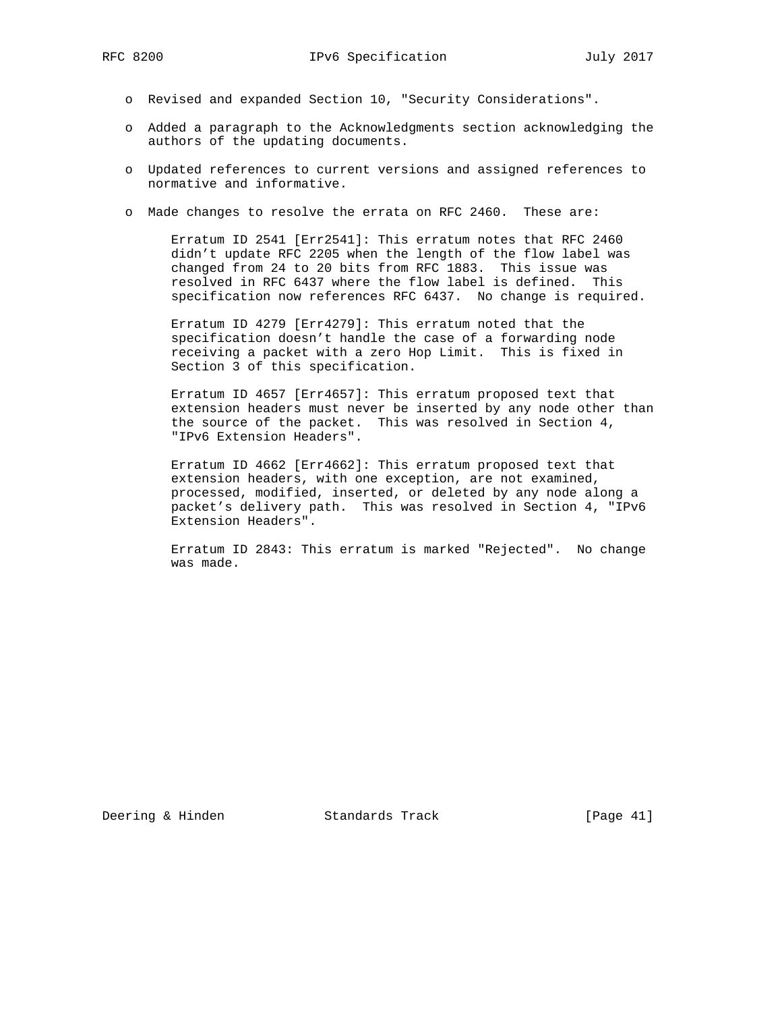- o Revised and expanded Section 10, "Security Considerations".
- o Added a paragraph to the Acknowledgments section acknowledging the authors of the updating documents.
- o Updated references to current versions and assigned references to normative and informative.
- o Made changes to resolve the errata on RFC 2460. These are:

 Erratum ID 2541 [Err2541]: This erratum notes that RFC 2460 didn't update RFC 2205 when the length of the flow label was changed from 24 to 20 bits from RFC 1883. This issue was resolved in RFC 6437 where the flow label is defined. This specification now references RFC 6437. No change is required.

 Erratum ID 4279 [Err4279]: This erratum noted that the specification doesn't handle the case of a forwarding node receiving a packet with a zero Hop Limit. This is fixed in Section 3 of this specification.

 Erratum ID 4657 [Err4657]: This erratum proposed text that extension headers must never be inserted by any node other than the source of the packet. This was resolved in Section 4, "IPv6 Extension Headers".

 Erratum ID 4662 [Err4662]: This erratum proposed text that extension headers, with one exception, are not examined, processed, modified, inserted, or deleted by any node along a packet's delivery path. This was resolved in Section 4, "IPv6 Extension Headers".

 Erratum ID 2843: This erratum is marked "Rejected". No change was made.

Deering & Hinden Standards Track [Page 41]